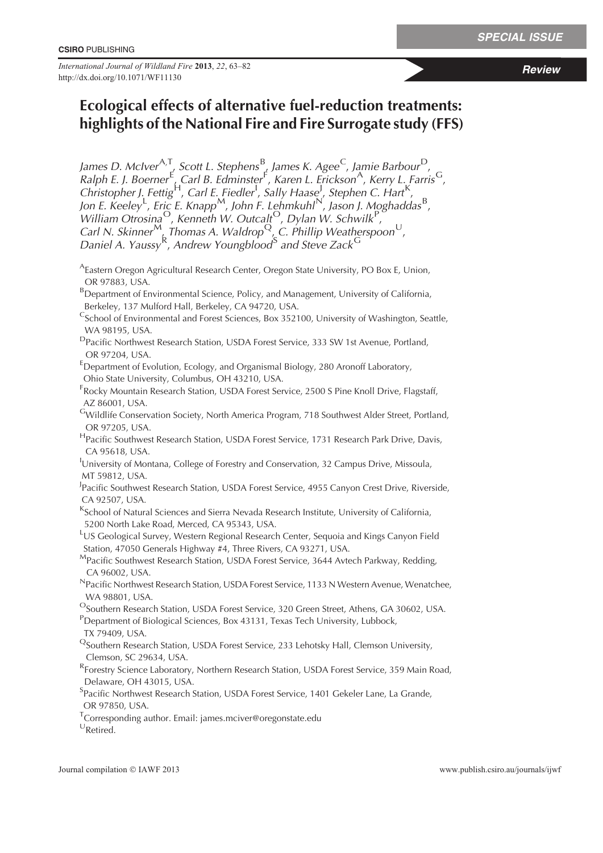*International Journal of Wildland Fire* **2013**, *22*, 63–82 http://dx.doi.org/10.1071/WF11130

**Review** 

# Ecological effects of alternative fuel-reduction treatments: highlights of the National Fire and Fire Surrogate study (FFS)

James D. McIver<sup>A,T</sup> , Scott L. Stephens $^{\sf B}{}_{_{\cal L}}$  James K. Agee $^{\sf C}$ , Jamie Barbour $^{\sf D}$ , Ralph E. J. Boerner  $^{\rm E}$ , Carl B. Edminster  $^{\rm E}$ , Karen L. Erickson $^{\rm A}$ , Kerry L. Farris $^{\rm G}$ , Christopher J. Fettig<sup>H</sup>, Carl E. Fiedler<sup>1</sup>, Sally Haase<sup>J</sup>, Stephen C. Hart<sup>K</sup>, Jon E. Keeley<sup>L</sup>, Eric E. Knapp<sup>M</sup>, John F. Lehmkuhl<sup>N'</sup>, Jason J. Moghaddas<sup>B</sup>, William Otrosina<sup>O</sup>, Kenneth W. Outcalt<sup>O</sup>, Dylan W. Schwilk<sup>P</sup>, Carl N. Skinner<sup>M</sup>, Thomas A. Waldrop<sup>Q</sup>, C. Phillip Weatherspoon<sup>U</sup>, Daniel A. Yaussy<sup>R</sup>, Andrew Youngblood<sup>S</sup> and Steve Zack<sup>G</sup>

- <sup>A</sup>Eastern Oregon Agricultural Research Center, Oregon State University, PO Box E, Union, OR 97883, USA.
- <sup>B</sup>Department of Environmental Science, Policy, and Management, University of California, Berkeley, 137 Mulford Hall, Berkeley, CA 94720, USA.
- $\epsilon$ School of Environmental and Forest Sciences, Box 352100, University of Washington, Seattle, WA 98195, USA.
- DPacific Northwest Research Station, USDA Forest Service, 333 SW 1st Avenue, Portland, OR 97204, USA.

<sup>E</sup>Department of Evolution, Ecology, and Organismal Biology, 280 Aronoff Laboratory, Ohio State University, Columbus, OH 43210, USA.

- <sup>F</sup>Rocky Mountain Research Station, USDA Forest Service, 2500 S Pine Knoll Drive, Flagstaff, AZ 86001, USA.
- GWildlife Conservation Society, North America Program, 718 Southwest Alder Street, Portland, OR 97205, USA.
- <sup>H</sup>Pacific Southwest Research Station, USDA Forest Service, 1731 Research Park Drive, Davis, CA 95618, USA.
- <sup>I</sup>University of Montana, College of Forestry and Conservation, 32 Campus Drive, Missoula, MT 59812, USA.
- <sup>J</sup>Pacific Southwest Research Station, USDA Forest Service, 4955 Canyon Crest Drive, Riverside, CA 92507, USA.
- <sup>K</sup>School of Natural Sciences and Sierra Nevada Research Institute, University of California, 5200 North Lake Road, Merced, CA 95343, USA.
- LUS Geological Survey, Western Regional Research Center, Sequoia and Kings Canyon Field Station, 47050 Generals Highway #4, Three Rivers, CA 93271, USA.
- MPacific Southwest Research Station, USDA Forest Service, 3644 Avtech Parkway, Redding, CA 96002, USA.
- NPacific Northwest Research Station, USDA Forest Service, 1133 N Western Avenue, Wenatchee, WA 98801, USA.
- OSouthern Research Station, USDA Forest Service, 320 Green Street, Athens, GA 30602, USA.
- PDepartment of Biological Sciences, Box 43131, Texas Tech University, Lubbock,
- TX 79409, USA.
- QSouthern Research Station, USDA Forest Service, 233 Lehotsky Hall, Clemson University, Clemson, SC 29634, USA.
- <sup>R</sup>Forestry Science Laboratory, Northern Research Station, USDA Forest Service, 359 Main Road, Delaware, OH 43015, USA.

<sup>S</sup>Pacific Northwest Research Station, USDA Forest Service, 1401 Gekeler Lane, La Grande, OR 97850, USA.

<sup>T</sup>Corresponding author. Email: james.mciver@oregonstate.edu

URetired.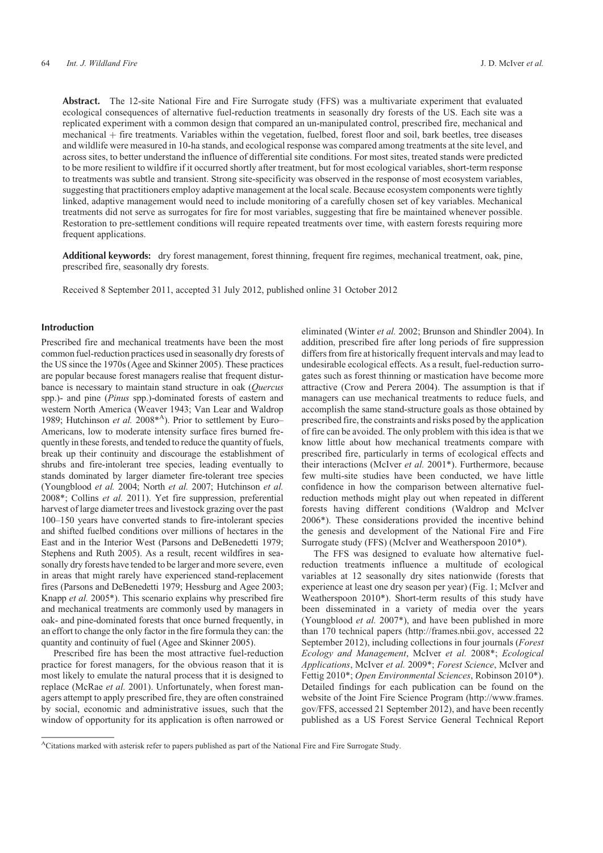Abstract. The 12-site National Fire and Fire Surrogate study (FFS) was a multivariate experiment that evaluated ecological consequences of alternative fuel-reduction treatments in seasonally dry forests of the US. Each site was a replicated experiment with a common design that compared an un-manipulated control, prescribed fire, mechanical and mechanical + fire treatments. Variables within the vegetation, fuelbed, forest floor and soil, bark beetles, tree diseases and wildlife were measured in 10-ha stands, and ecological response was compared among treatments at the site level, and across sites, to better understand the influence of differential site conditions. For most sites, treated stands were predicted to be more resilient to wildfire if it occurred shortly after treatment, but for most ecological variables, short-term response to treatments was subtle and transient. Strong site-specificity was observed in the response of most ecosystem variables, suggesting that practitioners employ adaptive management at the local scale. Because ecosystem components were tightly linked, adaptive management would need to include monitoring of a carefully chosen set of key variables. Mechanical treatments did not serve as surrogates for fire for most variables, suggesting that fire be maintained whenever possible. Restoration to pre-settlement conditions will require repeated treatments over time, with eastern forests requiring more frequent applications.

Additional keywords: dry forest management, forest thinning, frequent fire regimes, mechanical treatment, oak, pine, prescribed fire, seasonally dry forests.

Received 8 September 2011, accepted 31 July 2012, published online 31 October 2012

# Introduction

Prescribed fire and mechanical treatments have been the most common fuel-reduction practices used in seasonally dry forests of the US since the 1970s (Agee and Skinner 2005). These practices are popular because forest managers realise that frequent disturbance is necessary to maintain stand structure in oak (*Quercus* spp.)- and pine (*Pinus* spp.)-dominated forests of eastern and western North America (Weaver 1943; Van Lear and Waldrop 1989; Hutchinson et al. 2008<sup>\*A</sup>). Prior to settlement by Euro-Americans, low to moderate intensity surface fires burned frequently in these forests, and tended to reduce the quantity of fuels, break up their continuity and discourage the establishment of shrubs and fire-intolerant tree species, leading eventually to stands dominated by larger diameter fire-tolerant tree species (Youngblood *et al.* 2004; North *et al.* 2007; Hutchinson *et al.* 2008\*; Collins *et al.* 2011). Yet fire suppression, preferential harvest of large diameter trees and livestock grazing over the past 100–150 years have converted stands to fire-intolerant species and shifted fuelbed conditions over millions of hectares in the East and in the Interior West (Parsons and DeBenedetti 1979; Stephens and Ruth 2005). As a result, recent wildfires in seasonally dry forests have tended to be larger and more severe, even in areas that might rarely have experienced stand-replacement fires (Parsons and DeBenedetti 1979; Hessburg and Agee 2003; Knapp *et al.* 2005\*). This scenario explains why prescribed fire and mechanical treatments are commonly used by managers in oak- and pine-dominated forests that once burned frequently, in an effort to change the only factor in the fire formula they can: the quantity and continuity of fuel (Agee and Skinner 2005).

Prescribed fire has been the most attractive fuel-reduction practice for forest managers, for the obvious reason that it is most likely to emulate the natural process that it is designed to replace (McRae *et al.* 2001). Unfortunately, when forest managers attempt to apply prescribed fire, they are often constrained by social, economic and administrative issues, such that the window of opportunity for its application is often narrowed or eliminated (Winter *et al.* 2002; Brunson and Shindler 2004). In addition, prescribed fire after long periods of fire suppression differs from fire at historically frequent intervals and may lead to undesirable ecological effects. As a result, fuel-reduction surrogates such as forest thinning or mastication have become more attractive (Crow and Perera 2004). The assumption is that if managers can use mechanical treatments to reduce fuels, and accomplish the same stand-structure goals as those obtained by prescribed fire, the constraints and risks posed by the application of fire can be avoided. The only problem with this idea is that we know little about how mechanical treatments compare with prescribed fire, particularly in terms of ecological effects and their interactions (McIver *et al.* 2001\*). Furthermore, because few multi-site studies have been conducted, we have little confidence in how the comparison between alternative fuelreduction methods might play out when repeated in different forests having different conditions (Waldrop and McIver 2006\*). These considerations provided the incentive behind the genesis and development of the National Fire and Fire Surrogate study (FFS) (McIver and Weatherspoon 2010\*).

The FFS was designed to evaluate how alternative fuelreduction treatments influence a multitude of ecological variables at 12 seasonally dry sites nationwide (forests that experience at least one dry season per year) (Fig. 1; McIver and Weatherspoon 2010\*). Short-term results of this study have been disseminated in a variety of media over the years (Youngblood *et al.* 2007\*), and have been published in more than 170 technical papers [\(http://frames.nbii.gov,](http://frames.nbii.gov) accessed 22 September 2012), including collections in four journals (*Forest Ecology and Management*, McIver *et al.* 2008\*; *Ecological Applications*, McIver *et al.* 2009\*; *Forest Science*, McIver and Fettig 2010\*; *Open Environmental Sciences*, Robinson 2010\*). Detailed findings for each publication can be found on the website of the Joint Fire Science Program [\(http://www.frames.](http://www.frames.gov/FFS) [gov/FFS](http://www.frames.gov/FFS), accessed 21 September 2012), and have been recently published as a US Forest Service General Technical Report

ACitations marked with asterisk refer to papers published as part of the National Fire and Fire Surrogate Study.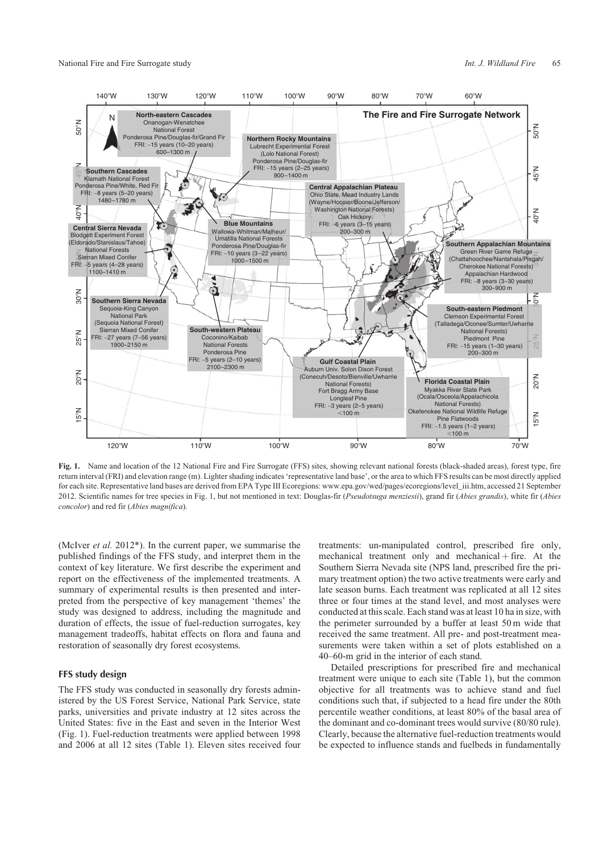

**Fig. 1.** Name and location of the 12 National Fire and Fire Surrogate (FFS) sites, showing relevant national forests (black-shaded areas), forest type, fire return interval (FRI) and elevation range (m). Lighter shading indicates 'representative land base', or the area to which FFS results can be most directly applied for each site. Representative land bases are derived from EPA Type III Ecoregions: [www.epa.gov/wed/pages/ecoregions/level\\_iii.htm,](http://www.epa.gov/wed/pages/ecoregions/level_iii.htm) accessed 21 September 2012. Scientific names for tree species in Fig. 1, but not mentioned in text: Douglas-fir (*Pseudotsuga menziesii*), grand fir (*Abies grandis*), white fir (*Abies concolor*) and red fir (*Abies magnifica*).

(McIver *et al.* 2012\*). In the current paper, we summarise the published findings of the FFS study, and interpret them in the context of key literature. We first describe the experiment and report on the effectiveness of the implemented treatments. A summary of experimental results is then presented and interpreted from the perspective of key management 'themes' the study was designed to address, including the magnitude and duration of effects, the issue of fuel-reduction surrogates, key management tradeoffs, habitat effects on flora and fauna and restoration of seasonally dry forest ecosystems.

# FFS study design

The FFS study was conducted in seasonally dry forests administered by the US Forest Service, National Park Service, state parks, universities and private industry at 12 sites across the United States: five in the East and seven in the Interior West (Fig. 1). Fuel-reduction treatments were applied between 1998 and 2006 at all 12 sites (Table 1). Eleven sites received four treatments: un-manipulated control, prescribed fire only, mechanical treatment only and mechanical  $+$  fire. At the Southern Sierra Nevada site (NPS land, prescribed fire the primary treatment option) the two active treatments were early and late season burns. Each treatment was replicated at all 12 sites three or four times at the stand level, and most analyses were conducted at this scale. Each stand was at least 10 ha in size, with the perimeter surrounded by a buffer at least 50 m wide that received the same treatment. All pre- and post-treatment measurements were taken within a set of plots established on a 40–60-m grid in the interior of each stand.

Detailed prescriptions for prescribed fire and mechanical treatment were unique to each site (Table 1), but the common objective for all treatments was to achieve stand and fuel conditions such that, if subjected to a head fire under the 80th percentile weather conditions, at least 80% of the basal area of the dominant and co-dominant trees would survive (80/80 rule). Clearly, because the alternative fuel-reduction treatments would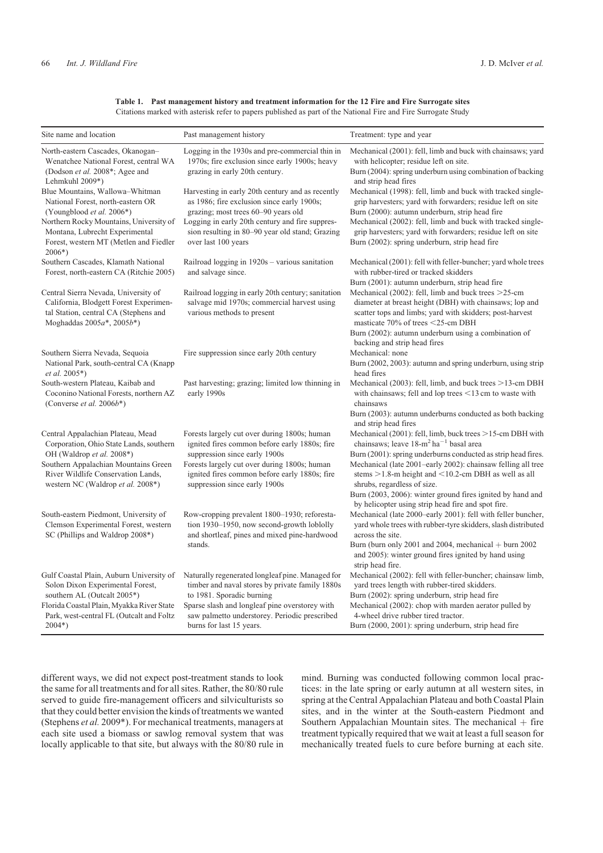|  |  | Table 1. Past management history and treatment information for the 12 Fire and Fire Surrogate sites            |  |
|--|--|----------------------------------------------------------------------------------------------------------------|--|
|  |  | Citations marked with asterisk refer to papers published as part of the National Fire and Fire Surrogate Study |  |

| Site name and location                                                                                                                                                                                                               | Past management history                                                                                                                                                                                                                                            | Treatment: type and year                                                                                                                                                                                                                                                                                                                                                                                                                                                        |  |  |  |
|--------------------------------------------------------------------------------------------------------------------------------------------------------------------------------------------------------------------------------------|--------------------------------------------------------------------------------------------------------------------------------------------------------------------------------------------------------------------------------------------------------------------|---------------------------------------------------------------------------------------------------------------------------------------------------------------------------------------------------------------------------------------------------------------------------------------------------------------------------------------------------------------------------------------------------------------------------------------------------------------------------------|--|--|--|
| North-eastern Cascades, Okanogan-<br>Wenatchee National Forest, central WA<br>(Dodson et al. 2008*; Agee and<br>Lehmkuhl 2009*)                                                                                                      | Logging in the 1930s and pre-commercial thin in<br>1970s; fire exclusion since early 1900s; heavy<br>grazing in early 20th century.                                                                                                                                | Mechanical (2001): fell, limb and buck with chainsaws; yard<br>with helicopter; residue left on site.<br>Burn (2004): spring underburn using combination of backing<br>and strip head fires                                                                                                                                                                                                                                                                                     |  |  |  |
| Blue Mountains, Wallowa-Whitman<br>National Forest, north-eastern OR<br>(Youngblood et al. 2006*)<br>Northern Rocky Mountains, University of<br>Montana, Lubrecht Experimental<br>Forest, western MT (Metlen and Fiedler<br>$2006*)$ | Harvesting in early 20th century and as recently<br>as 1986; fire exclusion since early 1900s;<br>grazing; most trees 60–90 years old<br>Logging in early 20th century and fire suppres-<br>sion resulting in 80–90 year old stand; Grazing<br>over last 100 years | Mechanical (1998): fell, limb and buck with tracked single-<br>grip harvesters; yard with forwarders; residue left on site<br>Burn (2000): autumn underburn, strip head fire<br>Mechanical (2002): fell, limb and buck with tracked single-<br>grip harvesters; yard with forwarders; residue left on site<br>Burn (2002): spring underburn, strip head fire                                                                                                                    |  |  |  |
| Southern Cascades, Klamath National<br>Forest, north-eastern CA (Ritchie 2005)                                                                                                                                                       | Railroad logging in 1920s – various sanitation<br>and salvage since.                                                                                                                                                                                               | Mechanical (2001): fell with feller-buncher; yard whole trees<br>with rubber-tired or tracked skidders<br>Burn (2001): autumn underburn, strip head fire                                                                                                                                                                                                                                                                                                                        |  |  |  |
| Central Sierra Nevada, University of<br>California, Blodgett Forest Experimen-<br>tal Station, central CA (Stephens and<br>Moghaddas $2005a^*$ , $2005b^*$ )                                                                         | Railroad logging in early 20th century; sanitation<br>salvage mid 1970s; commercial harvest using<br>various methods to present                                                                                                                                    | Mechanical (2002): fell, limb and buck trees $>25$ -cm<br>diameter at breast height (DBH) with chainsaws; lop and<br>scatter tops and limbs; yard with skidders; post-harvest<br>masticate 70% of trees <25-cm DBH<br>Burn (2002): autumn underburn using a combination of<br>backing and strip head fires                                                                                                                                                                      |  |  |  |
| Southern Sierra Nevada, Sequoia<br>National Park, south-central CA (Knapp<br><i>et al.</i> 2005*)                                                                                                                                    | Fire suppression since early 20th century                                                                                                                                                                                                                          | Mechanical: none<br>Burn (2002, 2003): autumn and spring underburn, using strip<br>head fires                                                                                                                                                                                                                                                                                                                                                                                   |  |  |  |
| South-western Plateau, Kaibab and<br>Coconino National Forests, northern AZ<br>(Converse <i>et al.</i> 2006 <i>b</i> <sup>*</sup> )                                                                                                  | Past harvesting; grazing; limited low thinning in<br>early 1990s                                                                                                                                                                                                   | Mechanical (2003): fell, limb, and buck trees $>13$ -cm DBH<br>with chainsaws; fell and lop trees $\leq$ 13 cm to waste with<br>chainsaws<br>Burn (2003): autumn underburns conducted as both backing<br>and strip head fires                                                                                                                                                                                                                                                   |  |  |  |
| Central Appalachian Plateau, Mead<br>Corporation, Ohio State Lands, southern<br>OH (Waldrop et al. 2008*)<br>Southern Appalachian Mountains Green<br>River Wildlife Conservation Lands,<br>western NC (Waldrop et al. 2008*)         | Forests largely cut over during 1800s; human<br>ignited fires common before early 1880s; fire<br>suppression since early 1900s<br>Forests largely cut over during 1800s; human<br>ignited fires common before early 1880s; fire<br>suppression since early 1900s   | Mechanical (2001): fell, limb, buck trees $>$ 15-cm DBH with<br>chainsaws; leave 18-m <sup>2</sup> ha <sup>-1</sup> basal area<br>Burn (2001): spring underburns conducted as strip head fires.<br>Mechanical (late 2001–early 2002): chainsaw felling all tree<br>stems $>1.8$ -m height and $<$ 10.2-cm DBH as well as all<br>shrubs, regardless of size.<br>Burn (2003, 2006): winter ground fires ignited by hand and<br>by helicopter using strip head fire and spot fire. |  |  |  |
| South-eastern Piedmont, University of<br>Clemson Experimental Forest, western<br>SC (Phillips and Waldrop 2008*)                                                                                                                     | Row-cropping prevalent 1800-1930; reforesta-<br>tion 1930–1950, now second-growth loblolly<br>and shortleaf, pines and mixed pine-hardwood<br>stands.                                                                                                              | Mechanical (late 2000–early 2001): fell with feller buncher,<br>yard whole trees with rubber-tyre skidders, slash distributed<br>across the site.<br>Burn (burn only 2001 and 2004, mechanical $+$ burn 2002<br>and 2005): winter ground fires ignited by hand using<br>strip head fire.                                                                                                                                                                                        |  |  |  |
| Gulf Coastal Plain, Auburn University of<br>Solon Dixon Experimental Forest,<br>southern AL (Outcalt 2005*)<br>Florida Coastal Plain, Myakka River State<br>Park, west-central FL (Outcalt and Foltz<br>$2004*)$                     | Naturally regenerated longleaf pine. Managed for<br>timber and naval stores by private family 1880s<br>to 1981. Sporadic burning<br>Sparse slash and longleaf pine overstorey with<br>saw palmetto understorey. Periodic prescribed<br>burns for last 15 years.    | Mechanical (2002): fell with feller-buncher; chainsaw limb,<br>yard trees length with rubber-tired skidders.<br>Burn (2002): spring underburn, strip head fire<br>Mechanical (2002): chop with marden aerator pulled by<br>4-wheel drive rubber tired tractor.<br>Burn (2000, 2001): spring underburn, strip head fire                                                                                                                                                          |  |  |  |

different ways, we did not expect post-treatment stands to look the same for all treatments and for all sites. Rather, the 80/80 rule served to guide fire-management officers and silviculturists so that they could better envision the kinds of treatments we wanted (Stephens *et al.* 2009\*). For mechanical treatments, managers at each site used a biomass or sawlog removal system that was locally applicable to that site, but always with the 80/80 rule in

mind. Burning was conducted following common local practices: in the late spring or early autumn at all western sites, in spring at the Central Appalachian Plateau and both Coastal Plain sites, and in the winter at the South-eastern Piedmont and Southern Appalachian Mountain sites. The mechanical  $+$  fire treatment typically required that we wait at least a full season for mechanically treated fuels to cure before burning at each site.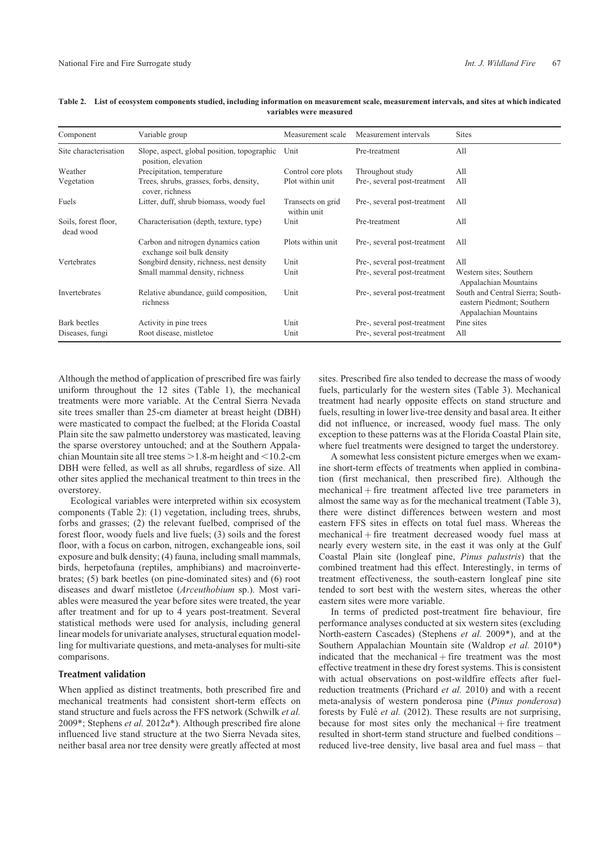| Component                         | Variable group                                                     | Measurement scale                | Measurement intervals        | <b>Sites</b>                                                                            |
|-----------------------------------|--------------------------------------------------------------------|----------------------------------|------------------------------|-----------------------------------------------------------------------------------------|
| Site characterisation             | Slope, aspect, global position, topographic<br>position, elevation | Unit                             | Pre-treatment                | All                                                                                     |
| Weather                           | Precipitation, temperature                                         | Control core plots               | Throughout study             | All                                                                                     |
| Vegetation                        | Trees, shrubs, grasses, forbs, density,<br>cover, richness         | Plot within unit                 | Pre-, several post-treatment | All                                                                                     |
| Fuels                             | Litter, duff, shrub biomass, woody fuel                            | Transects on grid<br>within unit | Pre-, several post-treatment | All                                                                                     |
| Soils, forest floor,<br>dead wood | Characterisation (depth, texture, type)                            | Unit                             | Pre-treatment                | All                                                                                     |
|                                   | Carbon and nitrogen dynamics cation<br>exchange soil bulk density  | Plots within unit                | Pre-, several post-treatment | All                                                                                     |
| Vertebrates                       | Songbird density, richness, nest density                           | Unit                             | Pre-, several post-treatment | A11                                                                                     |
|                                   | Small mammal density, richness                                     | Unit                             | Pre-, several post-treatment | Western sites; Southern<br>Appalachian Mountains                                        |
| Invertebrates                     | Relative abundance, guild composition,<br>richness                 | Unit                             | Pre-, several post-treatment | South and Central Sierra; South-<br>eastern Piedmont; Southern<br>Appalachian Mountains |
| Bark beetles                      | Activity in pine trees                                             | Unit                             | Pre-, several post-treatment | Pine sites                                                                              |
| Diseases, fungi                   | Root disease, mistletoe                                            | Unit                             | Pre-, several post-treatment | All                                                                                     |
|                                   |                                                                    |                                  |                              |                                                                                         |

**Table 2. List of ecosystem components studied, including information on measurement scale, measurement intervals, and sites at which indicated variables were measured**

Although the method of application of prescribed fire was fairly uniform throughout the 12 sites (Table 1), the mechanical treatments were more variable. At the Central Sierra Nevada site trees smaller than 25-cm diameter at breast height (DBH) were masticated to compact the fuelbed; at the Florida Coastal Plain site the saw palmetto understorey was masticated, leaving the sparse overstorey untouched; and at the Southern Appalachian Mountain site all tree stems  $>1.8$ -m height and  $<$ 10.2-cm DBH were felled, as well as all shrubs, regardless of size. All other sites applied the mechanical treatment to thin trees in the overstorey.

Ecological variables were interpreted within six ecosystem components (Table 2): (1) vegetation, including trees, shrubs, forbs and grasses; (2) the relevant fuelbed, comprised of the forest floor, woody fuels and live fuels; (3) soils and the forest floor, with a focus on carbon, nitrogen, exchangeable ions, soil exposure and bulk density; (4) fauna, including small mammals, birds, herpetofauna (reptiles, amphibians) and macroinvertebrates; (5) bark beetles (on pine-dominated sites) and (6) root diseases and dwarf mistletoe (*Arceuthobium* sp.). Most variables were measured the year before sites were treated, the year after treatment and for up to 4 years post-treatment. Several statistical methods were used for analysis, including general linear models for univariate analyses, structural equation modelling for multivariate questions, and meta-analyses for multi-site comparisons.

## Treatment validation

When applied as distinct treatments, both prescribed fire and mechanical treatments had consistent short-term effects on stand structure and fuels across the FFS network (Schwilk *et al.* 2009\*; Stephens *et al.* 2012*a*\*). Although prescribed fire alone influenced live stand structure at the two Sierra Nevada sites, neither basal area nor tree density were greatly affected at most sites. Prescribed fire also tended to decrease the mass of woody fuels, particularly for the western sites (Table 3). Mechanical treatment had nearly opposite effects on stand structure and fuels, resulting in lower live-tree density and basal area. It either did not influence, or increased, woody fuel mass. The only exception to these patterns was at the Florida Coastal Plain site, where fuel treatments were designed to target the understorey.

A somewhat less consistent picture emerges when we examine short-term effects of treatments when applied in combination (first mechanical, then prescribed fire). Although the  $mechanical + fire treatment affected live tree parameters in$ almost the same way as for the mechanical treatment (Table 3), there were distinct differences between western and most eastern FFS sites in effects on total fuel mass. Whereas the  $mechanical + fire treatment decreased woody fuel mass at$ nearly every western site, in the east it was only at the Gulf Coastal Plain site (longleaf pine, *Pinus palustris*) that the combined treatment had this effect. Interestingly, in terms of treatment effectiveness, the south-eastern longleaf pine site tended to sort best with the western sites, whereas the other eastern sites were more variable.

In terms of predicted post-treatment fire behaviour, fire performance analyses conducted at six western sites (excluding North-eastern Cascades) (Stephens *et al.* 2009\*), and at the Southern Appalachian Mountain site (Waldrop *et al.* 2010\*) indicated that the mechanical  $+$  fire treatment was the most effective treatment in these dry forest systems. This is consistent with actual observations on post-wildfire effects after fuelreduction treatments (Prichard *et al.* 2010) and with a recent meta-analysis of western ponderosa pine (*Pinus ponderosa*) forests by Fulé et al. (2012). These results are not surprising, because for most sites only the mechanical  $+$  fire treatment resulted in short-term stand structure and fuelbed conditions – reduced live-tree density, live basal area and fuel mass – that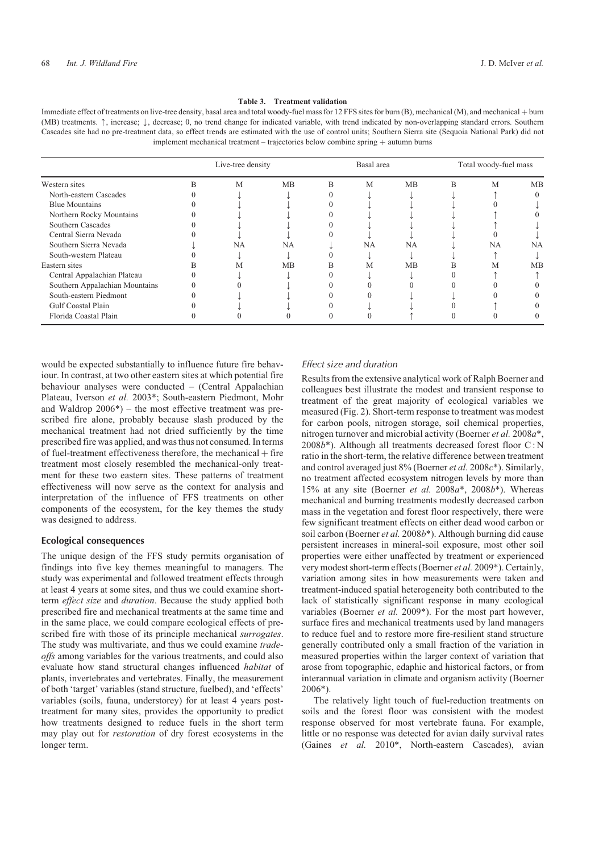#### **Table 3. Treatment validation**

Immediate effect of treatments on live-tree density, basal area and total woody-fuel mass for 12 FFS sites for burn (B), mechanical (M), and mechanical + burn (MB) treatments.  $\uparrow$ , increase;  $\downarrow$ , decrease; 0, no trend change for indicated variable, with trend indicated by non-overlapping standard errors. Southern Cascades site had no pre-treatment data, so effect trends are estimated with the use of control units; Southern Sierra site (Sequoia National Park) did not implement mechanical treatment – trajectories below combine spring  $+$  autumn burns

|                                | Live-tree density |    |    |   | Basal area | Total woody-fuel mass |   |    |    |
|--------------------------------|-------------------|----|----|---|------------|-----------------------|---|----|----|
| Western sites                  | R                 | M  | MB | R | M          | MB                    | B | M  | MB |
| North-eastern Cascades         |                   |    |    |   |            |                       |   |    |    |
| <b>Blue Mountains</b>          |                   |    |    |   |            |                       |   |    |    |
| Northern Rocky Mountains       |                   |    |    |   |            |                       |   |    |    |
| Southern Cascades              |                   |    |    |   |            |                       |   |    |    |
| Central Sierra Nevada          |                   |    |    |   |            |                       |   |    |    |
| Southern Sierra Nevada         |                   | NA | NA |   | <b>NA</b>  | NА                    |   | NA | NA |
| South-western Plateau          |                   |    |    |   |            |                       |   |    |    |
| Eastern sites                  |                   | M  | MB |   | M          | MB                    |   | M  | MB |
| Central Appalachian Plateau    |                   |    |    |   |            |                       |   |    |    |
| Southern Appalachian Mountains |                   |    |    |   |            |                       |   |    |    |
| South-eastern Piedmont         |                   |    |    |   |            |                       |   |    |    |
| Gulf Coastal Plain             |                   |    |    |   |            |                       |   |    |    |
| Florida Coastal Plain          |                   |    |    |   |            |                       |   |    |    |

would be expected substantially to influence future fire behaviour. In contrast, at two other eastern sites at which potential fire behaviour analyses were conducted – (Central Appalachian Plateau, Iverson *et al.* 2003\*; South-eastern Piedmont, Mohr and Waldrop 2006\*) – the most effective treatment was prescribed fire alone, probably because slash produced by the mechanical treatment had not dried sufficiently by the time prescribed fire was applied, and was thus not consumed. In terms of fuel-treatment effectiveness therefore, the mechanical  $+$  fire treatment most closely resembled the mechanical-only treatment for these two eastern sites. These patterns of treatment effectiveness will now serve as the context for analysis and interpretation of the influence of FFS treatments on other components of the ecosystem, for the key themes the study was designed to address.

## Ecological consequences

The unique design of the FFS study permits organisation of findings into five key themes meaningful to managers. The study was experimental and followed treatment effects through at least 4 years at some sites, and thus we could examine shortterm *effect size* and *duration*. Because the study applied both prescribed fire and mechanical treatments at the same time and in the same place, we could compare ecological effects of prescribed fire with those of its principle mechanical *surrogates*. The study was multivariate, and thus we could examine *tradeoffs* among variables for the various treatments, and could also evaluate how stand structural changes influenced *habitat* of plants, invertebrates and vertebrates. Finally, the measurement of both 'target' variables (stand structure, fuelbed), and 'effects' variables (soils, fauna, understorey) for at least 4 years posttreatment for many sites, provides the opportunity to predict how treatments designed to reduce fuels in the short term may play out for *restoration* of dry forest ecosystems in the longer term.

## Effect size and duration

Results from the extensive analytical work of Ralph Boerner and colleagues best illustrate the modest and transient response to treatment of the great majority of ecological variables we measured (Fig. 2). Short-term response to treatment was modest for carbon pools, nitrogen storage, soil chemical properties, nitrogen turnover and microbial activity (Boerner *et al.* 2008*a*\*, 2008*b*\*). Although all treatments decreased forest floor C:N ratio in the short-term, the relative difference between treatment and control averaged just 8% (Boerner *et al.* 2008*c*\*). Similarly, no treatment affected ecosystem nitrogen levels by more than 15% at any site (Boerner *et al.* 2008*a*\*, 2008*b*\*). Whereas mechanical and burning treatments modestly decreased carbon mass in the vegetation and forest floor respectively, there were few significant treatment effects on either dead wood carbon or soil carbon (Boerner *et al.* 2008*b*\*). Although burning did cause persistent increases in mineral-soil exposure, most other soil properties were either unaffected by treatment or experienced very modest short-term effects (Boerner *et al.* 2009\*). Certainly, variation among sites in how measurements were taken and treatment-induced spatial heterogeneity both contributed to the lack of statistically significant response in many ecological variables (Boerner *et al.* 2009\*). For the most part however, surface fires and mechanical treatments used by land managers to reduce fuel and to restore more fire-resilient stand structure generally contributed only a small fraction of the variation in measured properties within the larger context of variation that arose from topographic, edaphic and historical factors, or from interannual variation in climate and organism activity (Boerner 2006\*).

The relatively light touch of fuel-reduction treatments on soils and the forest floor was consistent with the modest response observed for most vertebrate fauna. For example, little or no response was detected for avian daily survival rates (Gaines *et al.* 2010\*, North-eastern Cascades), avian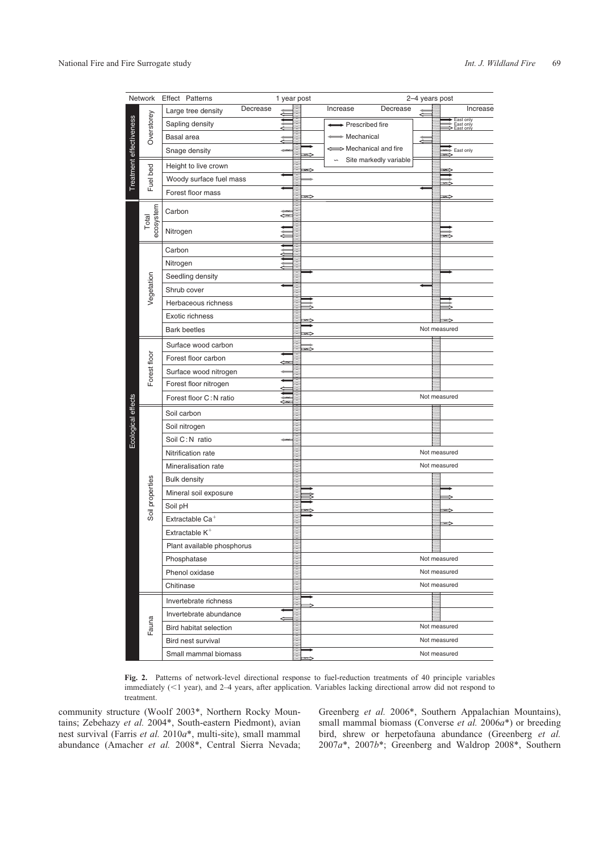|                         | Network            | Effect Patterns                | 1 year post |                        | 2-4 years post |                                     |
|-------------------------|--------------------|--------------------------------|-------------|------------------------|----------------|-------------------------------------|
| Treatment effectiveness |                    | Decrease<br>Large tree density |             | Decrease<br>Increase   |                | Increase                            |
|                         |                    | Sapling density                |             | Prescribed fire        |                | East only<br>East only<br>East only |
|                         | Overstorey         | Basal area                     |             | + Mechanical           | Ć              |                                     |
|                         |                    | Snage density                  |             | > Mechanical and fire  |                | East only                           |
|                         | bed                | Height to live crown           |             | Site markedly variable |                |                                     |
|                         |                    | Woody surface fuel mass        |             |                        |                |                                     |
|                         | Fuel               | Forest floor mass              |             |                        |                |                                     |
|                         | ecosystem<br>Total | Carbon                         |             |                        |                |                                     |
|                         |                    | Nitrogen                       |             |                        |                |                                     |
|                         |                    | Carbon                         |             |                        |                |                                     |
|                         |                    | Nitrogen                       |             |                        |                |                                     |
|                         |                    | Seedling density               |             |                        |                |                                     |
|                         | Vegetation         | Shrub cover                    |             |                        |                |                                     |
|                         |                    | Herbaceous richness            |             |                        |                |                                     |
|                         |                    | Exotic richness                |             |                        |                |                                     |
|                         |                    | <b>Bark beetles</b>            |             |                        |                | Not measured                        |
|                         |                    | Surface wood carbon            |             |                        |                |                                     |
|                         | Forest floor       | Forest floor carbon            | ⇦           |                        |                |                                     |
|                         |                    | Surface wood nitrogen          |             |                        |                |                                     |
|                         |                    | Forest floor nitrogen          |             |                        |                |                                     |
|                         |                    | Forest floor C: N ratio        |             |                        |                | Not measured                        |
| Ecological effects      |                    | Soil carbon                    |             |                        |                |                                     |
|                         |                    | Soil nitrogen                  |             |                        |                |                                     |
|                         |                    | Soil C: N ratio                |             |                        |                |                                     |
|                         |                    | Nitrification rate             |             |                        |                | Not measured                        |
|                         |                    | Mineralisation rate            |             |                        |                | Not measured                        |
|                         |                    | <b>Bulk density</b>            |             |                        |                |                                     |
|                         |                    | Mineral soil exposure          |             |                        |                |                                     |
|                         | Soil properties    | Soil pH                        |             |                        |                |                                     |
|                         |                    | Extractable $Ca+$              |             |                        |                |                                     |
|                         |                    | Extractable $K^+$              |             |                        |                |                                     |
|                         |                    | Plant available phosphorus     |             |                        |                |                                     |
|                         |                    | Phosphatase                    |             |                        |                | Not measured                        |
|                         |                    | Phenol oxidase                 |             |                        |                | Not measured                        |
|                         |                    | Chitinase                      |             |                        |                | Not measured                        |
|                         |                    | Invertebrate richness          |             |                        |                |                                     |
|                         |                    | Invertebrate abundance         | ⇐           |                        |                |                                     |
|                         | Fauna              | Bird habitat selection         |             |                        |                | Not measured                        |
|                         |                    | Bird nest survival             |             |                        |                | Not measured                        |
|                         |                    | Small mammal biomass           |             |                        |                | Not measured                        |

**Fig. 2.** Patterns of network-level directional response to fuel-reduction treatments of 40 principle variables immediately (<1 year), and 2-4 years, after application. Variables lacking directional arrow did not respond to treatment.

community structure (Woolf 2003\*, Northern Rocky Mountains; Zebehazy *et al.* 2004\*, South-eastern Piedmont), avian nest survival (Farris *et al.* 2010*a*\*, multi-site), small mammal abundance (Amacher *et al.* 2008\*, Central Sierra Nevada; Greenberg *et al.* 2006\*, Southern Appalachian Mountains), small mammal biomass (Converse *et al.* 2006*a*\*) or breeding bird, shrew or herpetofauna abundance (Greenberg *et al.* 2007*a*\*, 2007*b*\*; Greenberg and Waldrop 2008\*, Southern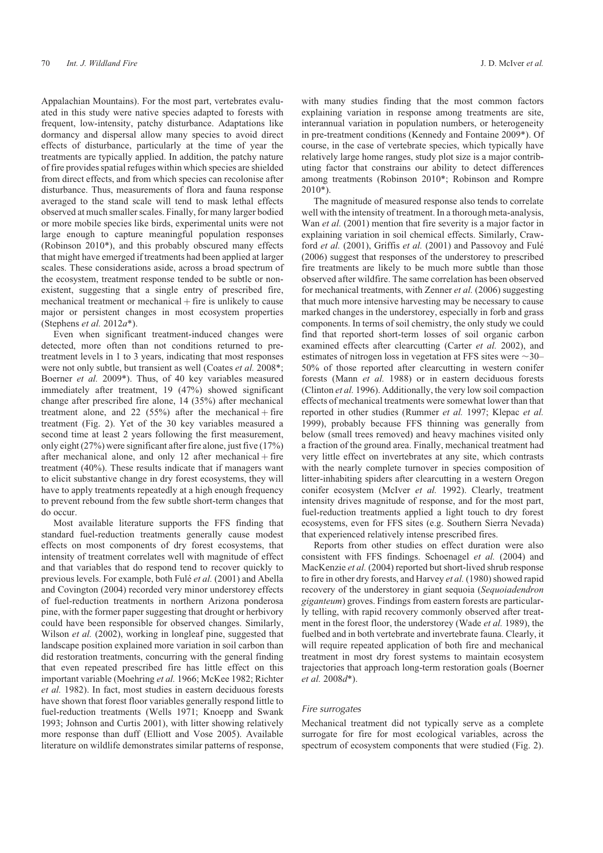Appalachian Mountains). For the most part, vertebrates evaluated in this study were native species adapted to forests with frequent, low-intensity, patchy disturbance. Adaptations like dormancy and dispersal allow many species to avoid direct effects of disturbance, particularly at the time of year the treatments are typically applied. In addition, the patchy nature of fire provides spatial refuges within which species are shielded from direct effects, and from which species can recolonise after disturbance. Thus, measurements of flora and fauna response averaged to the stand scale will tend to mask lethal effects observed at much smaller scales. Finally, for many larger bodied or more mobile species like birds, experimental units were not large enough to capture meaningful population responses (Robinson 2010\*), and this probably obscured many effects that might have emerged if treatments had been applied at larger scales. These considerations aside, across a broad spectrum of the ecosystem, treatment response tended to be subtle or nonexistent, suggesting that a single entry of prescribed fire, mechanical treatment or mechanical  $\pm$  fire is unlikely to cause major or persistent changes in most ecosystem properties (Stephens *et al.* 2012*a*\*).

Even when significant treatment-induced changes were detected, more often than not conditions returned to pretreatment levels in 1 to 3 years, indicating that most responses were not only subtle, but transient as well (Coates *et al.* 2008\*; Boerner *et al.* 2009\*). Thus, of 40 key variables measured immediately after treatment, 19 (47%) showed significant change after prescribed fire alone, 14 (35%) after mechanical treatment alone, and 22 (55%) after the mechanical  $\pm$  fire treatment (Fig. 2). Yet of the 30 key variables measured a second time at least 2 years following the first measurement, only eight (27%) were significant after fire alone, just five (17%) after mechanical alone, and only  $12$  after mechanical  $+$  fire treatment (40%). These results indicate that if managers want to elicit substantive change in dry forest ecosystems, they will have to apply treatments repeatedly at a high enough frequency to prevent rebound from the few subtle short-term changes that do occur.

Most available literature supports the FFS finding that standard fuel-reduction treatments generally cause modest effects on most components of dry forest ecosystems, that intensity of treatment correlates well with magnitude of effect and that variables that do respond tend to recover quickly to previous levels. For example, both Fulé *et al.* (2001) and Abella and Covington (2004) recorded very minor understorey effects of fuel-reduction treatments in northern Arizona ponderosa pine, with the former paper suggesting that drought or herbivory could have been responsible for observed changes. Similarly, Wilson *et al.* (2002), working in longleaf pine, suggested that landscape position explained more variation in soil carbon than did restoration treatments, concurring with the general finding that even repeated prescribed fire has little effect on this important variable (Moehring *et al.* 1966; McKee 1982; Richter *et al.* 1982). In fact, most studies in eastern deciduous forests have shown that forest floor variables generally respond little to fuel-reduction treatments (Wells 1971; Knoepp and Swank 1993; Johnson and Curtis 2001), with litter showing relatively more response than duff (Elliott and Vose 2005). Available literature on wildlife demonstrates similar patterns of response,

with many studies finding that the most common factors explaining variation in response among treatments are site, interannual variation in population numbers, or heterogeneity in pre-treatment conditions (Kennedy and Fontaine 2009\*). Of course, in the case of vertebrate species, which typically have relatively large home ranges, study plot size is a major contributing factor that constrains our ability to detect differences among treatments (Robinson 2010\*; Robinson and Rompre 2010\*).

The magnitude of measured response also tends to correlate well with the intensity of treatment. In a thorough meta-analysis, Wan *et al.* (2001) mention that fire severity is a major factor in explaining variation in soil chemical effects. Similarly, Crawford *et al.* (2001), Griffis *et al.* (2001) and Passovoy and Fulé (2006) suggest that responses of the understorey to prescribed fire treatments are likely to be much more subtle than those observed after wildfire. The same correlation has been observed for mechanical treatments, with Zenner *et al.* (2006) suggesting that much more intensive harvesting may be necessary to cause marked changes in the understorey, especially in forb and grass components. In terms of soil chemistry, the only study we could find that reported short-term losses of soil organic carbon examined effects after clearcutting (Carter *et al.* 2002), and estimates of nitrogen loss in vegetation at FFS sites were  $\sim$ 30– 50% of those reported after clearcutting in western conifer forests (Mann *et al.* 1988) or in eastern deciduous forests (Clinton *et al.* 1996). Additionally, the very low soil compaction effects of mechanical treatments were somewhat lower than that reported in other studies (Rummer *et al.* 1997; Klepac *et al.* 1999), probably because FFS thinning was generally from below (small trees removed) and heavy machines visited only a fraction of the ground area. Finally, mechanical treatment had very little effect on invertebrates at any site, which contrasts with the nearly complete turnover in species composition of litter-inhabiting spiders after clearcutting in a western Oregon conifer ecosystem (McIver *et al.* 1992). Clearly, treatment intensity drives magnitude of response, and for the most part, fuel-reduction treatments applied a light touch to dry forest ecosystems, even for FFS sites (e.g. Southern Sierra Nevada) that experienced relatively intense prescribed fires.

Reports from other studies on effect duration were also consistent with FFS findings. Schoenagel *et al.* (2004) and MacKenzie *et al.* (2004) reported but short-lived shrub response to fire in other dry forests, and Harvey *et al.* (1980) showed rapid recovery of the understorey in giant sequoia (*Sequoiadendron giganteum*) groves. Findings from eastern forests are particularly telling, with rapid recovery commonly observed after treatment in the forest floor, the understorey (Wade *et al.* 1989), the fuelbed and in both vertebrate and invertebrate fauna. Clearly, it will require repeated application of both fire and mechanical treatment in most dry forest systems to maintain ecosystem trajectories that approach long-term restoration goals (Boerner *et al.* 2008*d*\*).

#### Fire surrogates

Mechanical treatment did not typically serve as a complete surrogate for fire for most ecological variables, across the spectrum of ecosystem components that were studied (Fig. 2).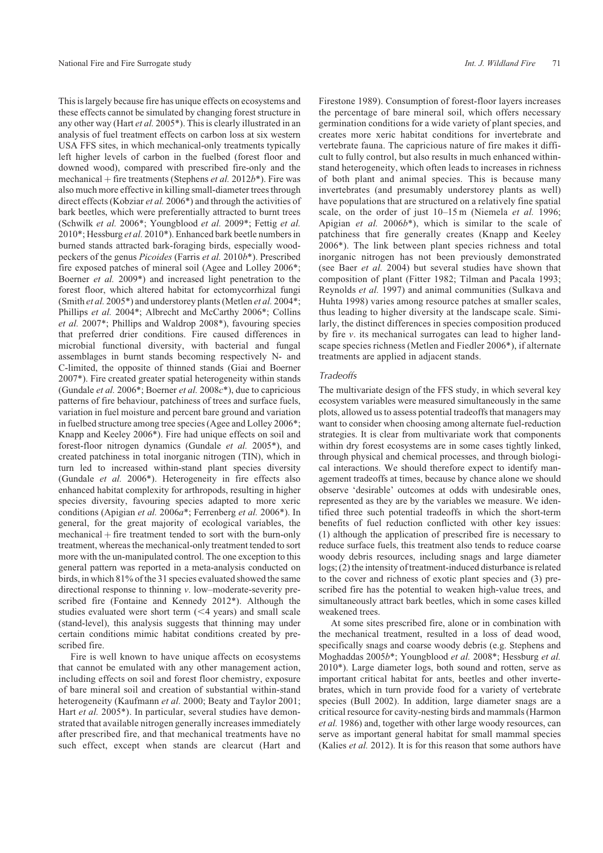This is largely because fire has unique effects on ecosystems and these effects cannot be simulated by changing forest structure in any other way (Hart *et al.* 2005\*). This is clearly illustrated in an analysis of fuel treatment effects on carbon loss at six western USA FFS sites, in which mechanical-only treatments typically left higher levels of carbon in the fuelbed (forest floor and downed wood), compared with prescribed fire-only and the mechanical  $+$  fire treatments (Stephens *et al.* 2012*b*<sup>\*</sup>). Fire was also much more effective in killing small-diameter trees through direct effects (Kobziar *et al.* 2006\*) and through the activities of bark beetles, which were preferentially attracted to burnt trees (Schwilk *et al.* 2006\*; Youngblood *et al.* 2009\*; Fettig *et al.* 2010\*; Hessburg *et al.* 2010\*). Enhanced bark beetle numbers in burned stands attracted bark-foraging birds, especially woodpeckers of the genus *Picoides* (Farris *et al.* 2010*b*\*). Prescribed fire exposed patches of mineral soil (Agee and Lolley 2006\*; Boerner *et al.* 2009\*) and increased light penetration to the forest floor, which altered habitat for ectomycorrhizal fungi (Smith *et al.* 2005\*) and understorey plants (Metlen *et al.* 2004\*; Phillips *et al.* 2004\*; Albrecht and McCarthy 2006\*; Collins *et al.* 2007\*; Phillips and Waldrop 2008\*), favouring species that preferred drier conditions. Fire caused differences in microbial functional diversity, with bacterial and fungal assemblages in burnt stands becoming respectively N- and C-limited, the opposite of thinned stands (Giai and Boerner 2007\*). Fire created greater spatial heterogeneity within stands (Gundale *et al.* 2006\*; Boerner *et al.* 2008*c*\*), due to capricious patterns of fire behaviour, patchiness of trees and surface fuels, variation in fuel moisture and percent bare ground and variation in fuelbed structure among tree species (Agee and Lolley 2006\*; Knapp and Keeley 2006\*). Fire had unique effects on soil and forest-floor nitrogen dynamics (Gundale *et al.* 2005\*), and created patchiness in total inorganic nitrogen (TIN), which in turn led to increased within-stand plant species diversity (Gundale *et al.* 2006\*). Heterogeneity in fire effects also enhanced habitat complexity for arthropods, resulting in higher species diversity, favouring species adapted to more xeric conditions (Apigian *et al.* 2006*a*\*; Ferrenberg *et al.* 2006\*). In general, for the great majority of ecological variables, the  $mechanical + fire treatment tended to sort with the burn-only$ treatment, whereas the mechanical-only treatment tended to sort more with the un-manipulated control. The one exception to this general pattern was reported in a meta-analysis conducted on birds, in which 81% of the 31 species evaluated showed the same directional response to thinning *v*. low–moderate-severity prescribed fire (Fontaine and Kennedy 2012\*). Although the studies evaluated were short term  $(<$  4 years) and small scale (stand-level), this analysis suggests that thinning may under certain conditions mimic habitat conditions created by prescribed fire.

Fire is well known to have unique affects on ecosystems that cannot be emulated with any other management action, including effects on soil and forest floor chemistry, exposure of bare mineral soil and creation of substantial within-stand heterogeneity (Kaufmann *et al.* 2000; Beaty and Taylor 2001; Hart *et al.* 2005\*). In particular, several studies have demonstrated that available nitrogen generally increases immediately after prescribed fire, and that mechanical treatments have no such effect, except when stands are clearcut (Hart and

Firestone 1989). Consumption of forest-floor layers increases the percentage of bare mineral soil, which offers necessary germination conditions for a wide variety of plant species, and creates more xeric habitat conditions for invertebrate and vertebrate fauna. The capricious nature of fire makes it difficult to fully control, but also results in much enhanced withinstand heterogeneity, which often leads to increases in richness of both plant and animal species. This is because many invertebrates (and presumably understorey plants as well) have populations that are structured on a relatively fine spatial scale, on the order of just 10–15 m (Niemela *et al.* 1996; Apigian *et al.* 2006*b*\*), which is similar to the scale of patchiness that fire generally creates (Knapp and Keeley 2006\*). The link between plant species richness and total inorganic nitrogen has not been previously demonstrated (see Baer *et al.* 2004) but several studies have shown that composition of plant (Fitter 1982; Tilman and Pacala 1993; Reynolds *et al.* 1997) and animal communities (Sulkava and Huhta 1998) varies among resource patches at smaller scales, thus leading to higher diversity at the landscape scale. Similarly, the distinct differences in species composition produced by fire *v*. its mechanical surrogates can lead to higher landscape species richness (Metlen and Fiedler 2006\*), if alternate treatments are applied in adjacent stands.

## **Tradeoffs**

The multivariate design of the FFS study, in which several key ecosystem variables were measured simultaneously in the same plots, allowed us to assess potential tradeoffs that managers may want to consider when choosing among alternate fuel-reduction strategies. It is clear from multivariate work that components within dry forest ecosystems are in some cases tightly linked, through physical and chemical processes, and through biological interactions. We should therefore expect to identify management tradeoffs at times, because by chance alone we should observe 'desirable' outcomes at odds with undesirable ones, represented as they are by the variables we measure. We identified three such potential tradeoffs in which the short-term benefits of fuel reduction conflicted with other key issues: (1) although the application of prescribed fire is necessary to reduce surface fuels, this treatment also tends to reduce coarse woody debris resources, including snags and large diameter logs; (2) the intensity of treatment-induced disturbance is related to the cover and richness of exotic plant species and (3) prescribed fire has the potential to weaken high-value trees, and simultaneously attract bark beetles, which in some cases killed weakened trees.

At some sites prescribed fire, alone or in combination with the mechanical treatment, resulted in a loss of dead wood, specifically snags and coarse woody debris (e.g. Stephens and Moghaddas 2005*b*\*; Youngblood *et al.* 2008\*; Hessburg *et al.* 2010\*). Large diameter logs, both sound and rotten, serve as important critical habitat for ants, beetles and other invertebrates, which in turn provide food for a variety of vertebrate species (Bull 2002). In addition, large diameter snags are a critical resource for cavity-nesting birds and mammals (Harmon *et al.* 1986) and, together with other large woody resources, can serve as important general habitat for small mammal species (Kalies *et al.* 2012). It is for this reason that some authors have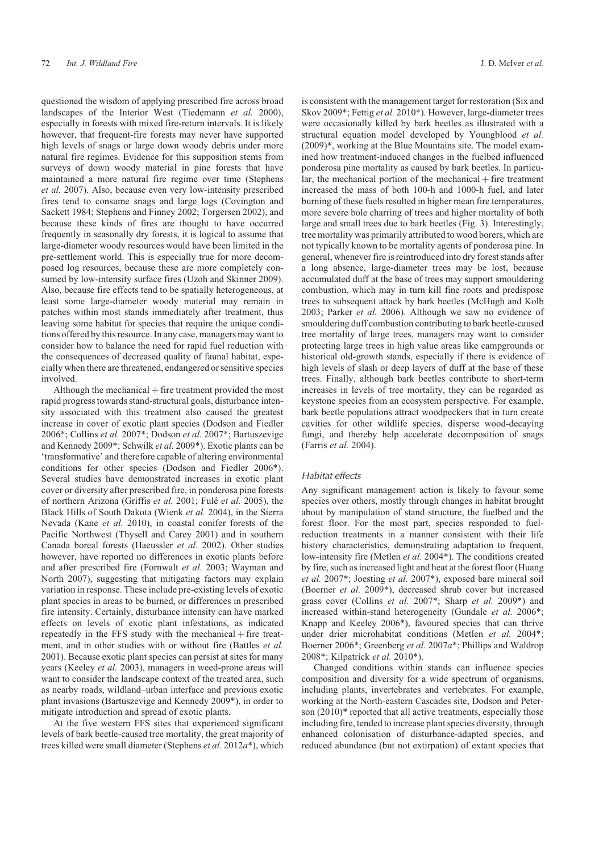questioned the wisdom of applying prescribed fire across broad landscapes of the Interior West (Tiedemann *et al.* 2000), especially in forests with mixed fire-return intervals. It is likely however, that frequent-fire forests may never have supported high levels of snags or large down woody debris under more natural fire regimes. Evidence for this supposition stems from surveys of down woody material in pine forests that have maintained a more natural fire regime over time (Stephens *et al.* 2007). Also, because even very low-intensity prescribed fires tend to consume snags and large logs (Covington and Sackett 1984; Stephens and Finney 2002; Torgersen 2002), and because these kinds of fires are thought to have occurred frequently in seasonally dry forests, it is logical to assume that large-diameter woody resources would have been limited in the pre-settlement world. This is especially true for more decomposed log resources, because these are more completely consumed by low-intensity surface fires (Uzoh and Skinner 2009). Also, because fire effects tend to be spatially heterogeneous, at least some large-diameter woody material may remain in patches within most stands immediately after treatment, thus leaving some habitat for species that require the unique conditions offered by this resource. In any case, managers may want to consider how to balance the need for rapid fuel reduction with the consequences of decreased quality of faunal habitat, especially when there are threatened, endangered or sensitive species involved.

Although the mechanical  $+$  fire treatment provided the most rapid progress towards stand-structural goals, disturbance intensity associated with this treatment also caused the greatest increase in cover of exotic plant species (Dodson and Fiedler 2006\*; Collins *et al.* 2007\*; Dodson *et al.* 2007\*; Bartuszevige and Kennedy 2009\*; Schwilk *et al.* 2009\*). Exotic plants can be 'transformative' and therefore capable of altering environmental conditions for other species (Dodson and Fiedler 2006\*). Several studies have demonstrated increases in exotic plant cover or diversity after prescribed fire, in ponderosa pine forests of northern Arizona (Griffis *et al.* 2001; Fulé *et al.* 2005), the Black Hills of South Dakota (Wienk *et al.* 2004), in the Sierra Nevada (Kane *et al.* 2010), in coastal conifer forests of the Pacific Northwest (Thysell and Carey 2001) and in southern Canada boreal forests (Haeussler *et al.* 2002). Other studies however, have reported no differences in exotic plants before and after prescribed fire (Fornwalt *et al.* 2003; Wayman and North 2007), suggesting that mitigating factors may explain variation in response. These include pre-existing levels of exotic plant species in areas to be burned, or differences in prescribed fire intensity. Certainly, disturbance intensity can have marked effects on levels of exotic plant infestations, as indicated repeatedly in the FFS study with the mechanical  $+$  fire treatment, and in other studies with or without fire (Battles *et al.* 2001). Because exotic plant species can persist at sites for many years (Keeley *et al.* 2003), managers in weed-prone areas will want to consider the landscape context of the treated area, such as nearby roads, wildland–urban interface and previous exotic plant invasions (Bartuszevige and Kennedy 2009\*), in order to mitigate introduction and spread of exotic plants.

At the five western FFS sites that experienced significant levels of bark beetle-caused tree mortality, the great majority of trees killed were small diameter (Stephens *et al.* 2012*a*\*), which is consistent with the management target for restoration (Six and Skov 2009\*; Fettig *et al.* 2010\*). However, large-diameter trees were occasionally killed by bark beetles as illustrated with a structural equation model developed by Youngblood *et al.* (2009)\*, working at the Blue Mountains site. The model examined how treatment-induced changes in the fuelbed influenced ponderosa pine mortality as caused by bark beetles. In particular, the mechanical portion of the mechanical  $\pm$  fire treatment increased the mass of both 100-h and 1000-h fuel, and later burning of these fuels resulted in higher mean fire temperatures, more severe bole charring of trees and higher mortality of both large and small trees due to bark beetles (Fig. 3). Interestingly, tree mortality was primarily attributed to wood borers, which are not typically known to be mortality agents of ponderosa pine. In general, whenever fire is reintroduced into dry forest stands after a long absence, large-diameter trees may be lost, because accumulated duff at the base of trees may support smouldering combustion, which may in turn kill fine roots and predispose trees to subsequent attack by bark beetles (McHugh and Kolb 2003; Parker *et al.* 2006). Although we saw no evidence of smouldering duff combustion contributing to bark beetle-caused tree mortality of large trees, managers may want to consider protecting large trees in high value areas like campgrounds or historical old-growth stands, especially if there is evidence of high levels of slash or deep layers of duff at the base of these trees. Finally, although bark beetles contribute to short-term increases in levels of tree mortality, they can be regarded as keystone species from an ecosystem perspective. For example, bark beetle populations attract woodpeckers that in turn create cavities for other wildlife species, disperse wood-decaying fungi, and thereby help accelerate decomposition of snags (Farris *et al.* 2004).

## Habitat effects

Any significant management action is likely to favour some species over others, mostly through changes in habitat brought about by manipulation of stand structure, the fuelbed and the forest floor. For the most part, species responded to fuelreduction treatments in a manner consistent with their life history characteristics, demonstrating adaptation to frequent, low-intensity fire (Metlen *et al.* 2004\*). The conditions created by fire, such as increased light and heat at the forest floor (Huang *et al.* 2007\*; Joesting *et al.* 2007\*), exposed bare mineral soil (Boerner *et al.* 2009\*), decreased shrub cover but increased grass cover (Collins *et al.* 2007\*; Sharp *et al.* 2009\*) and increased within-stand heterogeneity (Gundale *et al.* 2006\*; Knapp and Keeley 2006\*), favoured species that can thrive under drier microhabitat conditions (Metlen *et al.* 2004\*; Boerner 2006\*; Greenberg *et al.* 2007*a*\*; Phillips and Waldrop 2008\*; Kilpatrick *et al.* 2010\*).

Changed conditions within stands can influence species composition and diversity for a wide spectrum of organisms, including plants, invertebrates and vertebrates. For example, working at the North-eastern Cascades site, Dodson and Peterson (2010)\* reported that all active treatments, especially those including fire, tended to increase plant species diversity, through enhanced colonisation of disturbance-adapted species, and reduced abundance (but not extirpation) of extant species that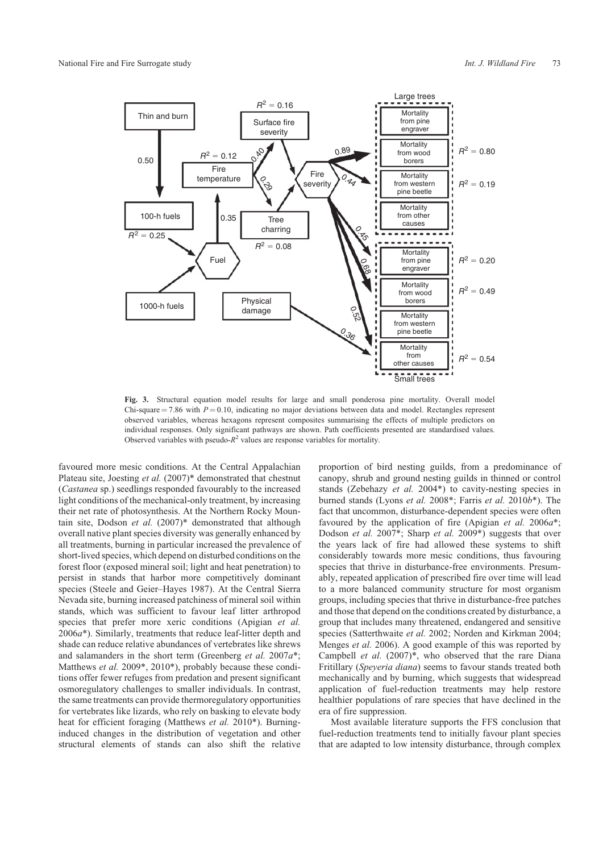

**Fig. 3.** Structural equation model results for large and small ponderosa pine mortality. Overall model Chi-square  $= 7.86$  with  $P = 0.10$ , indicating no major deviations between data and model. Rectangles represent observed variables, whereas hexagons represent composites summarising the effects of multiple predictors on individual responses. Only significant pathways are shown. Path coefficients presented are standardised values. Observed variables with pseudo- $R^2$  values are response variables for mortality.

favoured more mesic conditions. At the Central Appalachian Plateau site, Joesting *et al.* (2007)\* demonstrated that chestnut (*Castanea* sp.) seedlings responded favourably to the increased light conditions of the mechanical-only treatment, by increasing their net rate of photosynthesis. At the Northern Rocky Mountain site, Dodson *et al.* (2007)\* demonstrated that although overall native plant species diversity was generally enhanced by all treatments, burning in particular increased the prevalence of short-lived species, which depend on disturbed conditions on the forest floor (exposed mineral soil; light and heat penetration) to persist in stands that harbor more competitively dominant species (Steele and Geier–Hayes 1987). At the Central Sierra Nevada site, burning increased patchiness of mineral soil within stands, which was sufficient to favour leaf litter arthropod species that prefer more xeric conditions (Apigian *et al.* 2006*a*\*). Similarly, treatments that reduce leaf-litter depth and shade can reduce relative abundances of vertebrates like shrews and salamanders in the short term (Greenberg *et al.* 2007*a*\*; Matthews *et al.* 2009\*, 2010\*), probably because these conditions offer fewer refuges from predation and present significant osmoregulatory challenges to smaller individuals. In contrast, the same treatments can provide thermoregulatory opportunities for vertebrates like lizards, who rely on basking to elevate body heat for efficient foraging (Matthews *et al.* 2010\*). Burninginduced changes in the distribution of vegetation and other structural elements of stands can also shift the relative proportion of bird nesting guilds, from a predominance of canopy, shrub and ground nesting guilds in thinned or control stands (Zebehazy *et al.* 2004\*) to cavity-nesting species in burned stands (Lyons *et al.* 2008\*; Farris *et al.* 2010*b*\*). The fact that uncommon, disturbance-dependent species were often favoured by the application of fire (Apigian *et al.* 2006*a*\*; Dodson *et al.* 2007\*; Sharp *et al.* 2009\*) suggests that over the years lack of fire had allowed these systems to shift considerably towards more mesic conditions, thus favouring species that thrive in disturbance-free environments. Presumably, repeated application of prescribed fire over time will lead to a more balanced community structure for most organism groups, including species that thrive in disturbance-free patches and those that depend on the conditions created by disturbance, a group that includes many threatened, endangered and sensitive species (Satterthwaite *et al.* 2002; Norden and Kirkman 2004; Menges *et al.* 2006). A good example of this was reported by Campbell *et al.* (2007)\*, who observed that the rare Diana Fritillary (*Speyeria diana*) seems to favour stands treated both mechanically and by burning, which suggests that widespread application of fuel-reduction treatments may help restore healthier populations of rare species that have declined in the era of fire suppression.

Most available literature supports the FFS conclusion that fuel-reduction treatments tend to initially favour plant species that are adapted to low intensity disturbance, through complex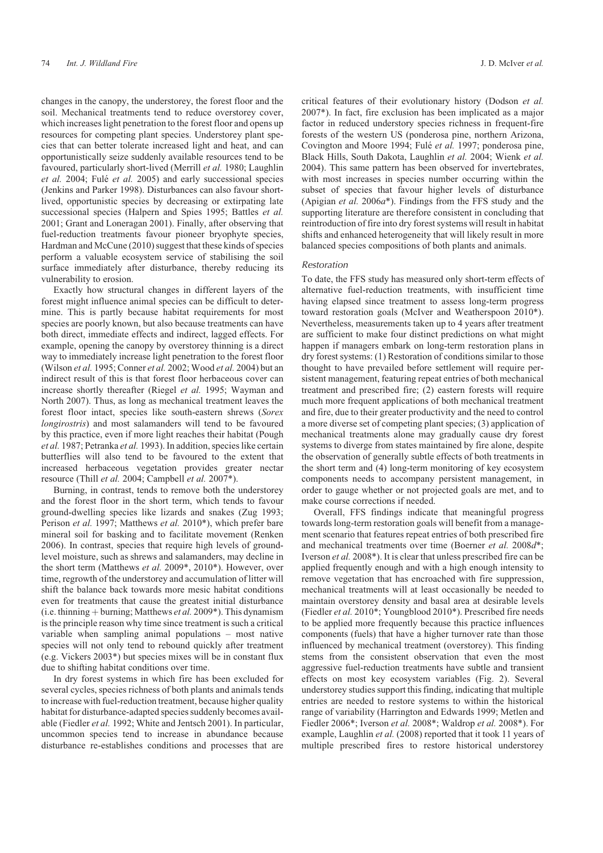changes in the canopy, the understorey, the forest floor and the soil. Mechanical treatments tend to reduce overstorey cover, which increases light penetration to the forest floor and opens up resources for competing plant species. Understorey plant species that can better tolerate increased light and heat, and can opportunistically seize suddenly available resources tend to be favoured, particularly short-lived (Merrill *et al.* 1980; Laughlin *et al.* 2004; Fulé *et al.* 2005) and early successional species (Jenkins and Parker 1998). Disturbances can also favour shortlived, opportunistic species by decreasing or extirpating late successional species (Halpern and Spies 1995; Battles *et al.* 2001; Grant and Loneragan 2001). Finally, after observing that fuel-reduction treatments favour pioneer bryophyte species, Hardman and McCune (2010) suggest that these kinds of species perform a valuable ecosystem service of stabilising the soil surface immediately after disturbance, thereby reducing its vulnerability to erosion.

Exactly how structural changes in different layers of the forest might influence animal species can be difficult to determine. This is partly because habitat requirements for most species are poorly known, but also because treatments can have both direct, immediate effects and indirect, lagged effects. For example, opening the canopy by overstorey thinning is a direct way to immediately increase light penetration to the forest floor (Wilson *et al.* 1995; Conner *et al.* 2002; Wood *et al.* 2004) but an indirect result of this is that forest floor herbaceous cover can increase shortly thereafter (Riegel *et al.* 1995; Wayman and North 2007). Thus, as long as mechanical treatment leaves the forest floor intact, species like south-eastern shrews (*Sorex longirostris*) and most salamanders will tend to be favoured by this practice, even if more light reaches their habitat (Pough *et al.* 1987; Petranka *et al.* 1993). In addition, species like certain butterflies will also tend to be favoured to the extent that increased herbaceous vegetation provides greater nectar resource (Thill *et al.* 2004; Campbell *et al.* 2007\*).

Burning, in contrast, tends to remove both the understorey and the forest floor in the short term, which tends to favour ground-dwelling species like lizards and snakes (Zug 1993; Perison *et al.* 1997; Matthews *et al.* 2010\*), which prefer bare mineral soil for basking and to facilitate movement (Renken 2006). In contrast, species that require high levels of groundlevel moisture, such as shrews and salamanders, may decline in the short term (Matthews *et al.* 2009\*, 2010\*). However, over time, regrowth of the understorey and accumulation of litter will shift the balance back towards more mesic habitat conditions even for treatments that cause the greatest initial disturbance (i.e. thinning + burning; Matthews  $et al. 2009*$ ). This dynamism is the principle reason why time since treatment is such a critical variable when sampling animal populations – most native species will not only tend to rebound quickly after treatment (e.g. Vickers 2003\*) but species mixes will be in constant flux due to shifting habitat conditions over time.

In dry forest systems in which fire has been excluded for several cycles, species richness of both plants and animals tends to increase with fuel-reduction treatment, because higher quality habitat for disturbance-adapted species suddenly becomes available (Fiedler *et al.* 1992; White and Jentsch 2001). In particular, uncommon species tend to increase in abundance because disturbance re-establishes conditions and processes that are

critical features of their evolutionary history (Dodson *et al.* 2007\*). In fact, fire exclusion has been implicated as a major factor in reduced understory species richness in frequent-fire forests of the western US (ponderosa pine, northern Arizona, Covington and Moore 1994; Fulé et al. 1997; ponderosa pine, Black Hills, South Dakota, Laughlin *et al.* 2004; Wienk *et al.* 2004). This same pattern has been observed for invertebrates, with most increases in species number occurring within the subset of species that favour higher levels of disturbance (Apigian *et al.* 2006*a*\*). Findings from the FFS study and the supporting literature are therefore consistent in concluding that reintroduction of fire into dry forest systems will result in habitat shifts and enhanced heterogeneity that will likely result in more balanced species compositions of both plants and animals.

## Restoration

To date, the FFS study has measured only short-term effects of alternative fuel-reduction treatments, with insufficient time having elapsed since treatment to assess long-term progress toward restoration goals (McIver and Weatherspoon 2010\*). Nevertheless, measurements taken up to 4 years after treatment are sufficient to make four distinct predictions on what might happen if managers embark on long-term restoration plans in dry forest systems: (1) Restoration of conditions similar to those thought to have prevailed before settlement will require persistent management, featuring repeat entries of both mechanical treatment and prescribed fire; (2) eastern forests will require much more frequent applications of both mechanical treatment and fire, due to their greater productivity and the need to control a more diverse set of competing plant species; (3) application of mechanical treatments alone may gradually cause dry forest systems to diverge from states maintained by fire alone, despite the observation of generally subtle effects of both treatments in the short term and (4) long-term monitoring of key ecosystem components needs to accompany persistent management, in order to gauge whether or not projected goals are met, and to make course corrections if needed.

Overall, FFS findings indicate that meaningful progress towards long-term restoration goals will benefit from a management scenario that features repeat entries of both prescribed fire and mechanical treatments over time (Boerner *et al.* 2008*d*\*; Iverson *et al.* 2008\*). It is clear that unless prescribed fire can be applied frequently enough and with a high enough intensity to remove vegetation that has encroached with fire suppression, mechanical treatments will at least occasionally be needed to maintain overstorey density and basal area at desirable levels (Fiedler *et al.* 2010\*; Youngblood 2010\*). Prescribed fire needs to be applied more frequently because this practice influences components (fuels) that have a higher turnover rate than those influenced by mechanical treatment (overstorey). This finding stems from the consistent observation that even the most aggressive fuel-reduction treatments have subtle and transient effects on most key ecosystem variables (Fig. 2). Several understorey studies support this finding, indicating that multiple entries are needed to restore systems to within the historical range of variability (Harrington and Edwards 1999; Metlen and Fiedler 2006\*; Iverson *et al.* 2008\*; Waldrop *et al.* 2008\*). For example, Laughlin *et al.* (2008) reported that it took 11 years of multiple prescribed fires to restore historical understorey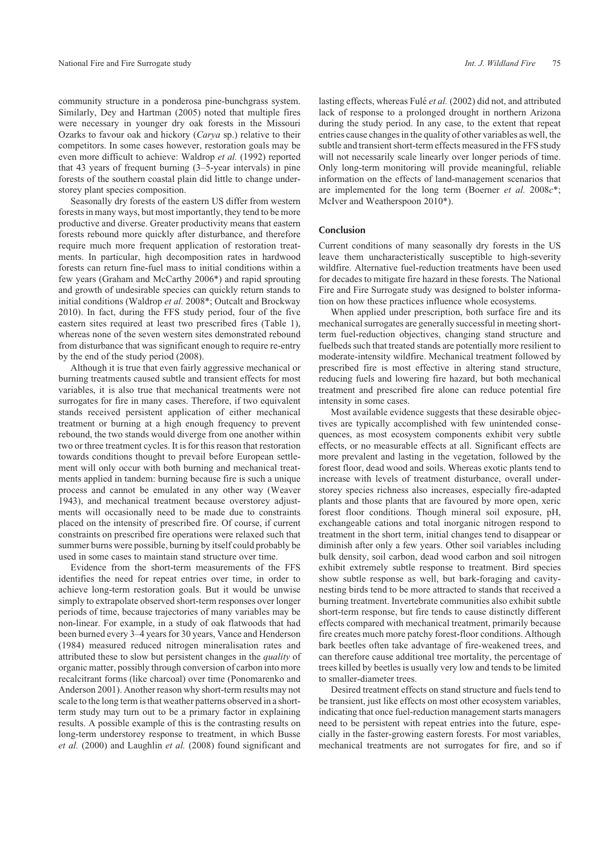community structure in a ponderosa pine-bunchgrass system. Similarly, Dey and Hartman (2005) noted that multiple fires were necessary in younger dry oak forests in the Missouri Ozarks to favour oak and hickory (*Carya* sp.) relative to their competitors. In some cases however, restoration goals may be even more difficult to achieve: Waldrop *et al.* (1992) reported that 43 years of frequent burning (3–5-year intervals) in pine forests of the southern coastal plain did little to change understorey plant species composition.

Seasonally dry forests of the eastern US differ from western forests in many ways, but most importantly, they tend to be more productive and diverse. Greater productivity means that eastern forests rebound more quickly after disturbance, and therefore require much more frequent application of restoration treatments. In particular, high decomposition rates in hardwood forests can return fine-fuel mass to initial conditions within a few years (Graham and McCarthy 2006\*) and rapid sprouting and growth of undesirable species can quickly return stands to initial conditions (Waldrop *et al.* 2008\*; Outcalt and Brockway 2010). In fact, during the FFS study period, four of the five eastern sites required at least two prescribed fires (Table 1), whereas none of the seven western sites demonstrated rebound from disturbance that was significant enough to require re-entry by the end of the study period (2008).

Although it is true that even fairly aggressive mechanical or burning treatments caused subtle and transient effects for most variables, it is also true that mechanical treatments were not surrogates for fire in many cases. Therefore, if two equivalent stands received persistent application of either mechanical treatment or burning at a high enough frequency to prevent rebound, the two stands would diverge from one another within two or three treatment cycles. It is for this reason that restoration towards conditions thought to prevail before European settlement will only occur with both burning and mechanical treatments applied in tandem: burning because fire is such a unique process and cannot be emulated in any other way (Weaver 1943), and mechanical treatment because overstorey adjustments will occasionally need to be made due to constraints placed on the intensity of prescribed fire. Of course, if current constraints on prescribed fire operations were relaxed such that summer burns were possible, burning by itself could probably be used in some cases to maintain stand structure over time.

Evidence from the short-term measurements of the FFS identifies the need for repeat entries over time, in order to achieve long-term restoration goals. But it would be unwise simply to extrapolate observed short-term responses over longer periods of time, because trajectories of many variables may be non-linear. For example, in a study of oak flatwoods that had been burned every 3–4 years for 30 years, Vance and Henderson (1984) measured reduced nitrogen mineralisation rates and attributed these to slow but persistent changes in the *quality* of organic matter, possibly through conversion of carbon into more recalcitrant forms (like charcoal) over time (Ponomarenko and Anderson 2001). Another reason why short-term results may not scale to the long term is that weather patterns observed in a shortterm study may turn out to be a primary factor in explaining results. A possible example of this is the contrasting results on long-term understorey response to treatment, in which Busse *et al.* (2000) and Laughlin *et al.* (2008) found significant and

lasting effects, whereas Fulé et al. (2002) did not, and attributed lack of response to a prolonged drought in northern Arizona during the study period. In any case, to the extent that repeat entries cause changes in the quality of other variables as well, the subtle and transient short-term effects measured in the FFS study will not necessarily scale linearly over longer periods of time. Only long-term monitoring will provide meaningful, reliable information on the effects of land-management scenarios that are implemented for the long term (Boerner *et al.* 2008*c*\*; McIver and Weatherspoon 2010\*).

## Conclusion

Current conditions of many seasonally dry forests in the US leave them uncharacteristically susceptible to high-severity wildfire. Alternative fuel-reduction treatments have been used for decades to mitigate fire hazard in these forests. The National Fire and Fire Surrogate study was designed to bolster information on how these practices influence whole ecosystems.

When applied under prescription, both surface fire and its mechanical surrogates are generally successful in meeting shortterm fuel-reduction objectives, changing stand structure and fuelbeds such that treated stands are potentially more resilient to moderate-intensity wildfire. Mechanical treatment followed by prescribed fire is most effective in altering stand structure, reducing fuels and lowering fire hazard, but both mechanical treatment and prescribed fire alone can reduce potential fire intensity in some cases.

Most available evidence suggests that these desirable objectives are typically accomplished with few unintended consequences, as most ecosystem components exhibit very subtle effects, or no measurable effects at all. Significant effects are more prevalent and lasting in the vegetation, followed by the forest floor, dead wood and soils. Whereas exotic plants tend to increase with levels of treatment disturbance, overall understorey species richness also increases, especially fire-adapted plants and those plants that are favoured by more open, xeric forest floor conditions. Though mineral soil exposure, pH, exchangeable cations and total inorganic nitrogen respond to treatment in the short term, initial changes tend to disappear or diminish after only a few years. Other soil variables including bulk density, soil carbon, dead wood carbon and soil nitrogen exhibit extremely subtle response to treatment. Bird species show subtle response as well, but bark-foraging and cavitynesting birds tend to be more attracted to stands that received a burning treatment. Invertebrate communities also exhibit subtle short-term response, but fire tends to cause distinctly different effects compared with mechanical treatment, primarily because fire creates much more patchy forest-floor conditions. Although bark beetles often take advantage of fire-weakened trees, and can therefore cause additional tree mortality, the percentage of trees killed by beetles is usually very low and tends to be limited to smaller-diameter trees.

Desired treatment effects on stand structure and fuels tend to be transient, just like effects on most other ecosystem variables, indicating that once fuel-reduction management starts managers need to be persistent with repeat entries into the future, especially in the faster-growing eastern forests. For most variables, mechanical treatments are not surrogates for fire, and so if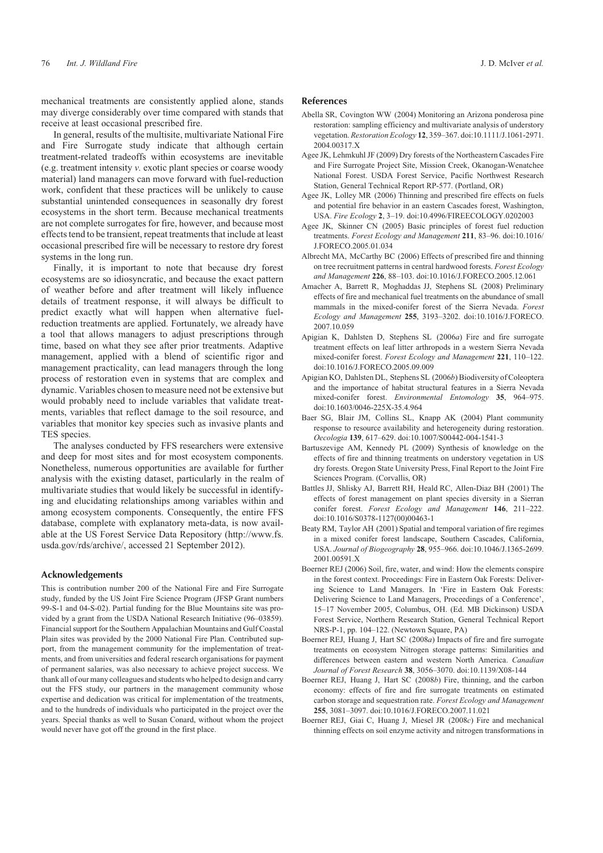mechanical treatments are consistently applied alone, stands may diverge considerably over time compared with stands that receive at least occasional prescribed fire.

In general, results of the multisite, multivariate National Fire and Fire Surrogate study indicate that although certain treatment-related tradeoffs within ecosystems are inevitable (e.g. treatment intensity *v.* exotic plant species or coarse woody material) land managers can move forward with fuel-reduction work, confident that these practices will be unlikely to cause substantial unintended consequences in seasonally dry forest ecosystems in the short term. Because mechanical treatments are not complete surrogates for fire, however, and because most effects tend to be transient, repeat treatments that include at least occasional prescribed fire will be necessary to restore dry forest systems in the long run.

Finally, it is important to note that because dry forest ecosystems are so idiosyncratic, and because the exact pattern of weather before and after treatment will likely influence details of treatment response, it will always be difficult to predict exactly what will happen when alternative fuelreduction treatments are applied. Fortunately, we already have a tool that allows managers to adjust prescriptions through time, based on what they see after prior treatments. Adaptive management, applied with a blend of scientific rigor and management practicality, can lead managers through the long process of restoration even in systems that are complex and dynamic. Variables chosen to measure need not be extensive but would probably need to include variables that validate treatments, variables that reflect damage to the soil resource, and variables that monitor key species such as invasive plants and TES species.

The analyses conducted by FFS researchers were extensive and deep for most sites and for most ecosystem components. Nonetheless, numerous opportunities are available for further analysis with the existing dataset, particularly in the realm of multivariate studies that would likely be successful in identifying and elucidating relationships among variables within and among ecosystem components. Consequently, the entire FFS database, complete with explanatory meta-data, is now available at the US Forest Service Data Repository [\(http://www.fs.](http://www.fs.usda.gov/rds/archive/) [usda.gov/rds/archive/](http://www.fs.usda.gov/rds/archive/), accessed 21 September 2012).

## Acknowledgements

This is contribution number 200 of the National Fire and Fire Surrogate study, funded by the US Joint Fire Science Program (JFSP Grant numbers 99-S-1 and 04-S-02). Partial funding for the Blue Mountains site was provided by a grant from the USDA National Research Initiative (96–03859). Financial support for the Southern Appalachian Mountains and Gulf Coastal Plain sites was provided by the 2000 National Fire Plan. Contributed support, from the management community for the implementation of treatments, and from universities and federal research organisations for payment of permanent salaries, was also necessary to achieve project success. We thank all of our many colleagues and students who helped to design and carry out the FFS study, our partners in the management community whose expertise and dedication was critical for implementation of the treatments, and to the hundreds of individuals who participated in the project over the years. Special thanks as well to Susan Conard, without whom the project would never have got off the ground in the first place.

#### References

- Abella SR, Covington WW (2004) Monitoring an Arizona ponderosa pine restoration: sampling efficiency and multivariate analysis of understory vegetation. *Restoration Ecology* **12**, 359–367. doi:10.1111/J.1061-2971. 2004.00317.X
- Agee JK, Lehmkuhl JF (2009) Dry forests of the Northeastern Cascades Fire and Fire Surrogate Project Site, Mission Creek, Okanogan-Wenatchee National Forest. USDA Forest Service, Pacific Northwest Research Station, General Technical Report RP-577. (Portland, OR)
- Agee JK, Lolley MR (2006) Thinning and prescribed fire effects on fuels and potential fire behavior in an eastern Cascades forest, Washington, USA. *Fire Ecology* **2**, 3–19. doi:10.4996/FIREECOLOGY.0202003
- Agee JK, Skinner CN (2005) Basic principles of forest fuel reduction treatments. *Forest Ecology and Management* **211**, 83–96. doi:10.1016/ J.FORECO.2005.01.034
- Albrecht MA, McCarthy BC (2006) Effects of prescribed fire and thinning on tree recruitment patterns in central hardwood forests. *Forest Ecology and Management* **226**, 88–103. doi:10.1016/J.FORECO.2005.12.061
- Amacher A, Barrett R, Moghaddas JJ, Stephens SL (2008) Preliminary effects of fire and mechanical fuel treatments on the abundance of small mammals in the mixed-conifer forest of the Sierra Nevada. *Forest Ecology and Management* **255**, 3193–3202. doi:10.1016/J.FORECO. 2007.10.059
- Apigian K, Dahlsten D, Stephens SL (2006*a*) Fire and fire surrogate treatment effects on leaf litter arthropods in a western Sierra Nevada mixed-conifer forest. *Forest Ecology and Management* **221**, 110–122. doi:10.1016/J.FORECO.2005.09.009
- Apigian KO, Dahlsten DL, Stephens SL (2006*b*) Biodiversity of Coleoptera and the importance of habitat structural features in a Sierra Nevada mixed-conifer forest. *Environmental Entomology* **35**, 964–975. doi:10.1603/0046-225X-35.4.964
- Baer SG, Blair JM, Collins SL, Knapp AK (2004) Plant community response to resource availability and heterogeneity during restoration. *Oecologia* **139**, 617–629. doi:10.1007/S00442-004-1541-3
- Bartuszevige AM, Kennedy PL (2009) Synthesis of knowledge on the effects of fire and thinning treatments on understory vegetation in US dry forests. Oregon State University Press, Final Report to the Joint Fire Sciences Program. (Corvallis, OR)
- Battles JJ, Shlisky AJ, Barrett RH, Heald RC, Allen-Diaz BH (2001) The effects of forest management on plant species diversity in a Sierran conifer forest. *Forest Ecology and Management* **146**, 211–222. doi:10.1016/S0378-1127(00)00463-1
- Beaty RM, Taylor AH (2001) Spatial and temporal variation of fire regimes in a mixed conifer forest landscape, Southern Cascades, California, USA. *Journal of Biogeography* **28**, 955–966. doi:10.1046/J.1365-2699. 2001.00591.X
- Boerner REJ (2006) Soil, fire, water, and wind: How the elements conspire in the forest context. Proceedings: Fire in Eastern Oak Forests: Delivering Science to Land Managers. In 'Fire in Eastern Oak Forests: Delivering Science to Land Managers, Proceedings of a Conference', 15–17 November 2005, Columbus, OH. (Ed. MB Dickinson) USDA Forest Service, Northern Research Station, General Technical Report NRS-P-1, pp. 104–122. (Newtown Square, PA)
- Boerner REJ, Huang J, Hart SC (2008*a*) Impacts of fire and fire surrogate treatments on ecosystem Nitrogen storage patterns: Similarities and differences between eastern and western North America. *Canadian Journal of Forest Research* **38**, 3056–3070. doi:10.1139/X08-144
- Boerner REJ, Huang J, Hart SC (2008*b*) Fire, thinning, and the carbon economy: effects of fire and fire surrogate treatments on estimated carbon storage and sequestration rate. *Forest Ecology and Management* **255**, 3081–3097. doi:10.1016/J.FORECO.2007.11.021
- Boerner REJ, Giai C, Huang J, Miesel JR (2008*c*) Fire and mechanical thinning effects on soil enzyme activity and nitrogen transformations in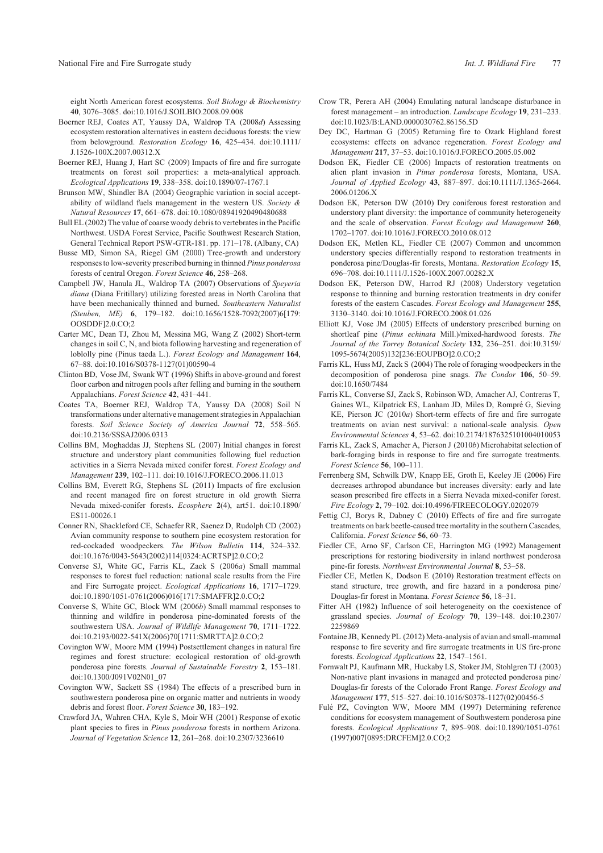eight North American forest ecosystems. *Soil Biology & Biochemistry* **40**, 3076–3085. doi:10.1016/J.SOILBIO.2008.09.008

- Boerner REJ, Coates AT, Yaussy DA, Waldrop TA (2008*d*) Assessing ecosystem restoration alternatives in eastern deciduous forests: the view from belowground. *Restoration Ecology* **16**, 425–434. doi:10.1111/ J.1526-100X.2007.00312.X
- Boerner REJ, Huang J, Hart SC (2009) Impacts of fire and fire surrogate treatments on forest soil properties: a meta-analytical approach. *Ecological Applications* **19**, 338–358. doi:10.1890/07-1767.1
- Brunson MW, Shindler BA (2004) Geographic variation in social acceptability of wildland fuels management in the western US. *Society & Natural Resources* **17**, 661–678. doi:10.1080/08941920490480688
- Bull EL (2002) The value of coarse woody debris to vertebrates in the Pacific Northwest. USDA Forest Service, Pacific Southwest Research Station, General Technical Report PSW-GTR-181. pp. 171–178. (Albany, CA)
- Busse MD, Simon SA, Riegel GM (2000) Tree-growth and understory responses to low-severity prescribed burning in thinned *Pinus ponderosa* forests of central Oregon. *Forest Science* **46**, 258–268.
- Campbell JW, Hanula JL, Waldrop TA (2007) Observations of *Speyeria diana* (Diana Fritillary) utilizing forested areas in North Carolina that have been mechanically thinned and burned. *Southeastern Naturalist (Steuben, ME)* **6**, 179–182. doi:10.1656/1528-7092(2007)6[179: OOSDDF]2.0.CO;2
- Carter MC, Dean TJ, Zhou M, Messina MG, Wang Z (2002) Short-term changes in soil C, N, and biota following harvesting and regeneration of loblolly pine (Pinus taeda L.). *Forest Ecology and Management* **164**, 67–88. doi:10.1016/S0378-1127(01)00590-4
- Clinton BD, Vose JM, Swank WT (1996) Shifts in above-ground and forest floor carbon and nitrogen pools after felling and burning in the southern Appalachians. *Forest Science* **42**, 431–441.
- Coates TA, Boerner REJ, Waldrop TA, Yaussy DA (2008) Soil N transformations under alternative management strategies in Appalachian forests. *Soil Science Society of America Journal* **72**, 558–565. doi:10.2136/SSSAJ2006.0313
- Collins BM, Moghaddas JJ, Stephens SL (2007) Initial changes in forest structure and understory plant communities following fuel reduction activities in a Sierra Nevada mixed conifer forest. *Forest Ecology and Management* **239**, 102–111. doi:10.1016/J.FORECO.2006.11.013
- Collins BM, Everett RG, Stephens SL (2011) Impacts of fire exclusion and recent managed fire on forest structure in old growth Sierra Nevada mixed-conifer forests. *Ecosphere* **2**(4), art51. doi:10.1890/ ES11-00026.1
- Conner RN, Shackleford CE, Schaefer RR, Saenez D, Rudolph CD (2002) Avian community response to southern pine ecosystem restoration for red-cockaded woodpeckers. *The Wilson Bulletin* **114**, 324–332. doi:10.1676/0043-5643(2002)114[0324:ACRTSP]2.0.CO;2
- Converse SJ, White GC, Farris KL, Zack S (2006*a*) Small mammal responses to forest fuel reduction: national scale results from the Fire and Fire Surrogate project. *Ecological Applications* **16**, 1717–1729. doi:10.1890/1051-0761(2006)016[1717:SMAFFR]2.0.CO;2
- Converse S, White GC, Block WM (2006*b*) Small mammal responses to thinning and wildfire in ponderosa pine-dominated forests of the southwestern USA. *Journal of Wildlife Management* **70**, 1711–1722. doi:10.2193/0022-541X(2006)70[1711:SMRTTA]2.0.CO;2
- Covington WW, Moore MM (1994) Postsettlement changes in natural fire regimes and forest structure: ecological restoration of old-growth ponderosa pine forests. *Journal of Sustainable Forestry* **2**, 153–181. doi:10.1300/J091V02N01\_07
- Covington WW, Sackett SS (1984) The effects of a prescribed burn in southwestern ponderosa pine on organic matter and nutrients in woody debris and forest floor. *Forest Science* **30**, 183–192.
- Crawford JA, Wahren CHA, Kyle S, Moir WH (2001) Response of exotic plant species to fires in *Pinus ponderosa* forests in northern Arizona. *Journal of Vegetation Science* **12**, 261–268. doi:10.2307/3236610
- Crow TR, Perera AH (2004) Emulating natural landscape disturbance in forest management – an introduction. *Landscape Ecology* **19**, 231–233. doi:10.1023/B:LAND.0000030762.86156.5D
- Dey DC, Hartman G (2005) Returning fire to Ozark Highland forest ecosystems: effects on advance regeneration. *Forest Ecology and Management* **217**, 37–53. doi:10.1016/J.FORECO.2005.05.002
- Dodson EK, Fiedler CE (2006) Impacts of restoration treatments on alien plant invasion in *Pinus ponderosa* forests, Montana, USA. *Journal of Applied Ecology* **43**, 887–897. doi:10.1111/J.1365-2664. 2006.01206.X
- Dodson EK, Peterson DW (2010) Dry coniferous forest restoration and understory plant diversity: the importance of community heterogeneity and the scale of observation. *Forest Ecology and Management* **260**, 1702–1707. doi:10.1016/J.FORECO.2010.08.012
- Dodson EK, Metlen KL, Fiedler CE (2007) Common and uncommon understory species differentially respond to restoration treatments in ponderosa pine/Douglas-fir forests, Montana. *Restoration Ecology* **15**, 696–708. doi:10.1111/J.1526-100X.2007.00282.X
- Dodson EK, Peterson DW, Harrod RJ (2008) Understory vegetation response to thinning and burning restoration treatments in dry conifer forests of the eastern Cascades. *Forest Ecology and Management* **255**, 3130–3140. doi:10.1016/J.FORECO.2008.01.026
- Elliott KJ, Vose JM (2005) Effects of understory prescribed burning on shortleaf pine (*Pinus echinata* Mill.)/mixed-hardwood forests. *The Journal of the Torrey Botanical Society* **132**, 236–251. doi:10.3159/ 1095-5674(2005)132[236:EOUPBO]2.0.CO;2
- Farris KL, Huss MJ, Zack S (2004) The role of foraging woodpeckers in the decomposition of ponderosa pine snags. *The Condor* **106**, 50–59. doi:10.1650/7484
- Farris KL, Converse SJ, Zack S, Robinson WD, Amacher AJ, Contreras T, Gaines WL, Kilpatrick ES, Lanham JD, Miles D, Rompré G, Sieving KE, Pierson JC (2010*a*) Short-term effects of fire and fire surrogate treatments on avian nest survival: a national-scale analysis. *Open Environmental Sciences* **4**, 53–62. doi:10.2174/1876325101004010053
- Farris KL, Zack S, Amacher A, Pierson J (2010*b*) Microhabitat selection of bark-foraging birds in response to fire and fire surrogate treatments. *Forest Science* **56**, 100–111.
- Ferrenberg SM, Schwilk DW, Knapp EE, Groth E, Keeley JE (2006) Fire decreases arthropod abundance but increases diversity: early and late season prescribed fire effects in a Sierra Nevada mixed-conifer forest. *Fire Ecology* **2**, 79–102. doi:10.4996/FIREECOLOGY.0202079
- Fettig CJ, Borys R, Dabney C (2010) Effects of fire and fire surrogate treatments on bark beetle-caused tree mortality in the southern Cascades, California. *Forest Science* **56**, 60–73.
- Fiedler CE, Arno SF, Carlson CE, Harrington MG (1992) Management prescriptions for restoring biodiversity in inland northwest ponderosa pine-fir forests. *Northwest Environmental Journal* **8**, 53–58.
- Fiedler CE, Metlen K, Dodson E (2010) Restoration treatment effects on stand structure, tree growth, and fire hazard in a ponderosa pine/ Douglas-fir forest in Montana. *Forest Science* **56**, 18–31.
- Fitter AH (1982) Influence of soil heterogeneity on the coexistence of grassland species. *Journal of Ecology* **70**, 139–148. doi:10.2307/ 2259869
- Fontaine JB, Kennedy PL (2012) Meta-analysis of avian and small-mammal response to fire severity and fire surrogate treatments in US fire-prone forests. *Ecological Applications* **22**, 1547–1561.
- Fornwalt PJ, Kaufmann MR, Huckaby LS, Stoker JM, Stohlgren TJ (2003) Non-native plant invasions in managed and protected ponderosa pine/ Douglas-fir forests of the Colorado Front Range. *Forest Ecology and Management* **177**, 515–527. doi:10.1016/S0378-1127(02)00456-5
- Fulé PZ, Covington WW, Moore MM (1997) Determining reference conditions for ecosystem management of Southwestern ponderosa pine forests. *Ecological Applications* **7**, 895–908. doi:10.1890/1051-0761 (1997)007[0895:DRCFEM]2.0.CO;2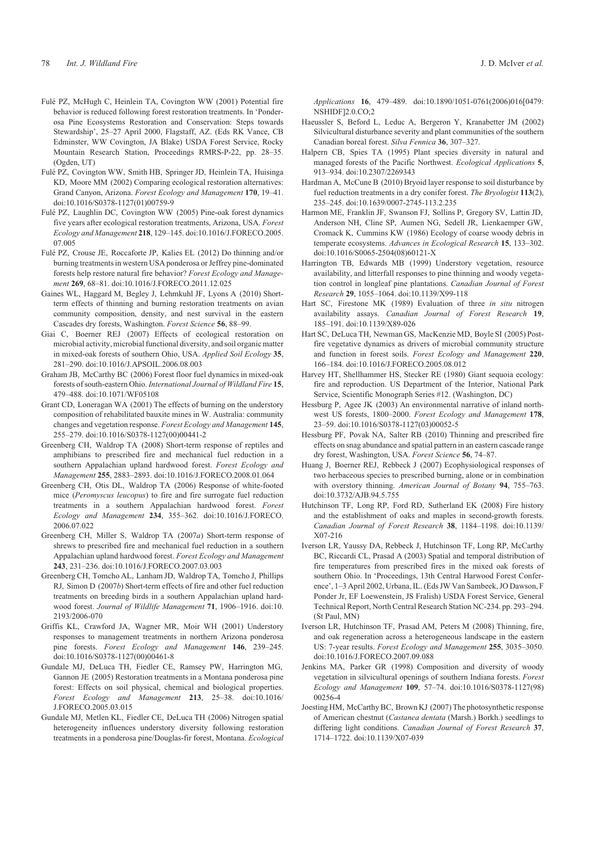- Fulé PZ, McHugh C, Heinlein TA, Covington WW (2001) Potential fire behavior is reduced following forest restoration treatments. In 'Ponderosa Pine Ecosystems Restoration and Conservation: Steps towards Stewardship', 25–27 April 2000, Flagstaff, AZ. (Eds RK Vance, CB Edminster, WW Covington, JA Blake) USDA Forest Service, Rocky Mountain Research Station, Proceedings RMRS-P-22, pp. 28–35. (Ogden, UT)
- Fulé PZ, Covington WW, Smith HB, Springer JD, Heinlein TA, Huisinga KD, Moore MM (2002) Comparing ecological restoration alternatives: Grand Canyon, Arizona. *Forest Ecology and Management* **170**, 19–41. doi:10.1016/S0378-1127(01)00759-9
- Fulé PZ, Laughlin DC, Covington WW (2005) Pine-oak forest dynamics five years after ecological restoration treatments, Arizona, USA. *Forest Ecology and Management* **218**, 129–145. doi:10.1016/J.FORECO.2005. 07.005
- Fulé PZ, Crouse JE, Roccaforte JP, Kalies EL (2012) Do thinning and/or burning treatments in western USA ponderosa or Jeffrey pine-dominated forests help restore natural fire behavior? *Forest Ecology and Management* **269**, 68–81. doi:10.1016/J.FORECO.2011.12.025
- Gaines WL, Haggard M, Begley J, Lehmkuhl JF, Lyons A (2010) Shortterm effects of thinning and burning restoration treatments on avian community composition, density, and nest survival in the eastern Cascades dry forests, Washington. *Forest Science* **56**, 88–99.
- Giai C, Boerner REJ (2007) Effects of ecological restoration on microbial activity, microbial functional diversity, and soil organic matter in mixed-oak forests of southern Ohio, USA. *Applied Soil Ecology* **35**, 281–290. doi:10.1016/J.APSOIL.2006.08.003
- Graham JB, McCarthy BC (2006) Forest floor fuel dynamics in mixed-oak forests of south-eastern Ohio. *International Journal of Wildland Fire* **15**, 479–488. doi:10.1071/WF05108
- Grant CD, Loneragan WA (2001) The effects of burning on the understory composition of rehabilitated bauxite mines in W. Australia: community changes and vegetation response. *Forest Ecology and Management* **145**, 255–279. doi:10.1016/S0378-1127(00)00441-2
- Greenberg CH, Waldrop TA (2008) Short-term response of reptiles and amphibians to prescribed fire and mechanical fuel reduction in a southern Appalachian upland hardwood forest. *Forest Ecology and Management* **255**, 2883–2893. doi:10.1016/J.FORECO.2008.01.064
- Greenberg CH, Otis DL, Waldrop TA (2006) Response of white-footed mice (*Peromyscus leucopus*) to fire and fire surrogate fuel reduction treatments in a southern Appalachian hardwood forest. *Forest Ecology and Management* **234**, 355–362. doi:10.1016/J.FORECO. 2006.07.022
- Greenberg CH, Miller S, Waldrop TA (2007*a*) Short-term response of shrews to prescribed fire and mechanical fuel reduction in a southern Appalachian upland hardwood forest. *Forest Ecology and Management* **243**, 231–236. doi:10.1016/J.FORECO.2007.03.003
- Greenberg CH, Tomcho AL, Lanham JD, Waldrop TA, Tomcho J, Phillips RJ, Simon D (2007*b*) Short-term effects of fire and other fuel reduction treatments on breeding birds in a southern Appalachian upland hardwood forest. *Journal of Wildlife Management* **71**, 1906–1916. doi:10. 2193/2006-070
- Griffis KL, Crawford JA, Wagner MR, Moir WH (2001) Understory responses to management treatments in northern Arizona ponderosa pine forests. *Forest Ecology and Management* **146**, 239–245. doi:10.1016/S0378-1127(00)00461-8
- Gundale MJ, DeLuca TH, Fiedler CE, Ramsey PW, Harrington MG, Gannon JE (2005) Restoration treatments in a Montana ponderosa pine forest: Effects on soil physical, chemical and biological properties. *Forest Ecology and Management* **213**, 25–38. doi:10.1016/ J.FORECO.2005.03.015
- Gundale MJ, Metlen KL, Fiedler CE, DeLuca TH (2006) Nitrogen spatial heterogeneity influences understory diversity following restoration treatments in a ponderosa pine/Douglas-fir forest, Montana. *Ecological*

*Applications* **16**, 479–489. doi:10.1890/1051-0761(2006)016[0479: NSHIDF]2.0.CO;2

- Haeussler S, Beford L, Leduc A, Bergeron Y, Kranabetter JM (2002) Silvicultural disturbance severity and plant communities of the southern Canadian boreal forest. *Silva Fennica* **36**, 307–327.
- Halpern CB, Spies TA (1995) Plant species diversity in natural and managed forests of the Pacific Northwest. *Ecological Applications* **5**, 913–934. doi:10.2307/2269343
- Hardman A, McCune B (2010) Bryoid layer response to soil disturbance by fuel reduction treatments in a dry conifer forest. *The Bryologist* **113**(2), 235–245. doi:10.1639/0007-2745-113.2.235
- Harmon ME, Franklin JF, Swanson FJ, Sollins P, Gregory SV, Lattin JD, Anderson NH, Cline SP, Aumen NG, Sedell JR, Lienkaemper GW, Cromack K, Cummins KW (1986) Ecology of coarse woody debris in temperate ecosystems. *Advances in Ecological Research* **15**, 133–302. doi:10.1016/S0065-2504(08)60121-X
- Harrington TB, Edwards MB (1999) Understory vegetation, resource availability, and litterfall responses to pine thinning and woody vegetation control in longleaf pine plantations. *Canadian Journal of Forest Research* **29**, 1055–1064. doi:10.1139/X99-118
- Hart SC, Firestone MK (1989) Evaluation of three *in situ* nitrogen availability assays. *Canadian Journal of Forest Research* **19**, 185–191. doi:10.1139/X89-026
- Hart SC, DeLuca TH, Newman GS, MacKenzie MD, Boyle SI (2005) Postfire vegetative dynamics as drivers of microbial community structure and function in forest soils. *Forest Ecology and Management* **220**, 166–184. doi:10.1016/J.FORECO.2005.08.012
- Harvey HT, Shellhammer HS, Stecker RE (1980) Giant sequoia ecology: fire and reproduction. US Department of the Interior, National Park Service, Scientific Monograph Series #12. (Washington, DC)
- Hessburg P, Agee JK (2003) An environmental narrative of inland northwest US forests, 1800–2000. *Forest Ecology and Management* **178**, 23–59. doi:10.1016/S0378-1127(03)00052-5
- Hessburg PF, Povak NA, Salter RB (2010) Thinning and prescribed fire effects on snag abundance and spatial pattern in an eastern cascade range dry forest, Washington, USA. *Forest Science* **56**, 74–87.
- Huang J, Boerner REJ, Rebbeck J (2007) Ecophysiological responses of two herbaceous species to prescribed burning, alone or in combination with overstory thinning. *American Journal of Botany* **94**, 755–763. doi:10.3732/AJB.94.5.755
- Hutchinson TF, Long RP, Ford RD, Sutherland EK (2008) Fire history and the establishment of oaks and maples in second-growth forests. *Canadian Journal of Forest Research* **38**, 1184–1198. doi:10.1139/ X07-216
- Iverson LR, Yaussy DA, Rebbeck J, Hutchinson TF, Long RP, McCarthy BC, Riccardi CL, Prasad A (2003) Spatial and temporal distribution of fire temperatures from prescribed fires in the mixed oak forests of southern Ohio. In 'Proceedings, 13th Central Harwood Forest Conference', 1–3 April 2002, Urbana, IL. (Eds JW Van Sambeek, JO Dawson, F Ponder Jr, EF Loewenstein, JS Fralish) USDA Forest Service, General Technical Report, North Central Research Station NC-234. pp. 293–294. (St Paul, MN)
- Iverson LR, Hutchinson TF, Prasad AM, Peters M (2008) Thinning, fire, and oak regeneration across a heterogeneous landscape in the eastern US: 7-year results. *Forest Ecology and Management* **255**, 3035–3050. doi:10.1016/J.FORECO.2007.09.088
- Jenkins MA, Parker GR (1998) Composition and diversity of woody vegetation in silvicultural openings of southern Indiana forests. *Forest Ecology and Management* **109**, 57–74. doi:10.1016/S0378-1127(98) 00256-4
- Joesting HM, McCarthy BC, Brown KJ (2007) The photosynthetic response of American chestnut (*Castanea dentata* (Marsh.) Borkh.) seedlings to differing light conditions. *Canadian Journal of Forest Research* **37**, 1714–1722. doi:10.1139/X07-039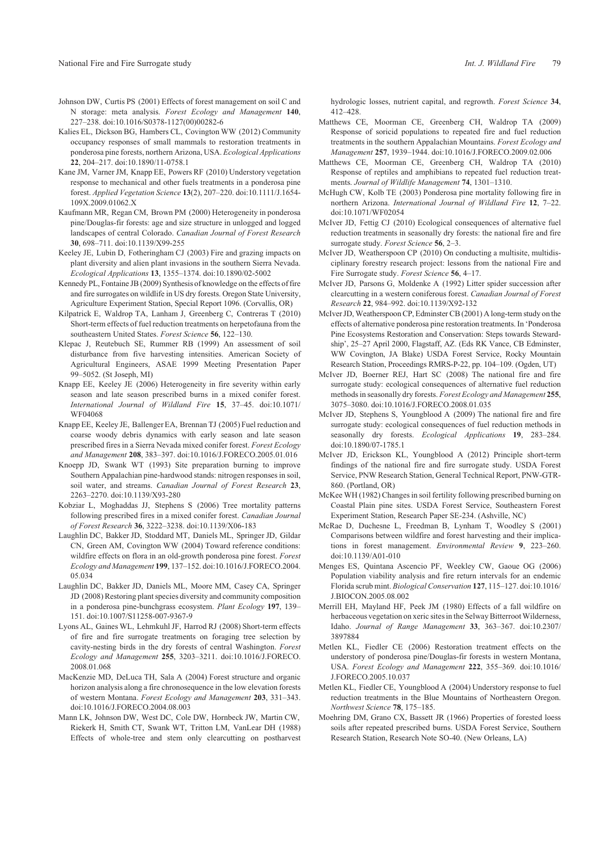- Johnson DW, Curtis PS (2001) Effects of forest management on soil C and N storage: meta analysis. *Forest Ecology and Management* **140**, 227–238. doi:10.1016/S0378-1127(00)00282-6
- Kalies EL, Dickson BG, Hambers CL, Covington WW (2012) Community occupancy responses of small mammals to restoration treatments in ponderosa pine forests, northern Arizona, USA. *Ecological Applications* **22**, 204–217. doi:10.1890/11-0758.1
- Kane JM, Varner JM, Knapp EE, Powers RF (2010) Understory vegetation response to mechanical and other fuels treatments in a ponderosa pine forest. *Applied Vegetation Science* **13**(2), 207–220. doi:10.1111/J.1654- 109X.2009.01062.X
- Kaufmann MR, Regan CM, Brown PM (2000) Heterogeneity in ponderosa pine/Douglas-fir forests: age and size structure in unlogged and logged landscapes of central Colorado. *Canadian Journal of Forest Research* **30**, 698–711. doi:10.1139/X99-255
- Keeley JE, Lubin D, Fotheringham CJ (2003) Fire and grazing impacts on plant diversity and alien plant invasions in the southern Sierra Nevada. *Ecological Applications* **13**, 1355–1374. doi:10.1890/02-5002
- Kennedy PL, Fontaine JB (2009) Synthesis of knowledge on the effects of fire and fire surrogates on wildlife in US dry forests. Oregon State University, Agriculture Experiment Station, Special Report 1096. (Corvallis, OR)
- Kilpatrick E, Waldrop TA, Lanham J, Greenberg C, Contreras T (2010) Short-term effects of fuel reduction treatments on herpetofauna from the southeastern United States. *Forest Science* **56**, 122–130.
- Klepac J, Reutebuch SE, Rummer RB (1999) An assessment of soil disturbance from five harvesting intensities. American Society of Agricultural Engineers, ASAE 1999 Meeting Presentation Paper 99–5052. (St Joseph, MI)
- Knapp EE, Keeley JE (2006) Heterogeneity in fire severity within early season and late season prescribed burns in a mixed conifer forest. *International Journal of Wildland Fire* **15**, 37–45. doi:10.1071/ WF04068
- Knapp EE, Keeley JE, Ballenger EA, Brennan TJ (2005) Fuel reduction and coarse woody debris dynamics with early season and late season prescribed fires in a Sierra Nevada mixed conifer forest. *Forest Ecology and Management* **208**, 383–397. doi:10.1016/J.FORECO.2005.01.016
- Knoepp JD, Swank WT (1993) Site preparation burning to improve Southern Appalachian pine-hardwood stands: nitrogen responses in soil, soil water, and streams. *Canadian Journal of Forest Research* **23**, 2263–2270. doi:10.1139/X93-280
- Kobziar L, Moghaddas JJ, Stephens S (2006) Tree mortality patterns following prescribed fires in a mixed conifer forest. *Canadian Journal of Forest Research* **36**, 3222–3238. doi:10.1139/X06-183
- Laughlin DC, Bakker JD, Stoddard MT, Daniels ML, Springer JD, Gildar CN, Green AM, Covington WW (2004) Toward reference conditions: wildfire effects on flora in an old-growth ponderosa pine forest. *Forest Ecology and Management* **199**, 137–152. doi:10.1016/J.FORECO.2004. 05.034
- Laughlin DC, Bakker JD, Daniels ML, Moore MM, Casey CA, Springer JD (2008) Restoring plant species diversity and community composition in a ponderosa pine-bunchgrass ecosystem. *Plant Ecology* **197**, 139– 151. doi:10.1007/S11258-007-9367-9
- Lyons AL, Gaines WL, Lehmkuhl JF, Harrod RJ (2008) Short-term effects of fire and fire surrogate treatments on foraging tree selection by cavity-nesting birds in the dry forests of central Washington. *Forest Ecology and Management* **255**, 3203–3211. doi:10.1016/J.FORECO. 2008.01.068
- MacKenzie MD, DeLuca TH, Sala A (2004) Forest structure and organic horizon analysis along a fire chronosequence in the low elevation forests of western Montana. *Forest Ecology and Management* **203**, 331–343. doi:10.1016/J.FORECO.2004.08.003
- Mann LK, Johnson DW, West DC, Cole DW, Hornbeck JW, Martin CW, Riekerk H, Smith CT, Swank WT, Tritton LM, VanLear DH (1988) Effects of whole-tree and stem only clearcutting on postharvest

hydrologic losses, nutrient capital, and regrowth. *Forest Science* **34**, 412–428.

- Matthews CE, Moorman CE, Greenberg CH, Waldrop TA (2009) Response of soricid populations to repeated fire and fuel reduction treatments in the southern Appalachian Mountains. *Forest Ecology and Management* **257**, 1939–1944. doi:10.1016/J.FORECO.2009.02.006
- Matthews CE, Moorman CE, Greenberg CH, Waldrop TA (2010) Response of reptiles and amphibians to repeated fuel reduction treatments. *Journal of Wildlife Management* **74**, 1301–1310.
- McHugh CW, Kolb TE (2003) Ponderosa pine mortality following fire in northern Arizona. *International Journal of Wildland Fire* **12**, 7–22. doi:10.1071/WF02054
- McIver JD, Fettig CJ (2010) Ecological consequences of alternative fuel reduction treatments in seasonally dry forests: the national fire and fire surrogate study. *Forest Science* **56**, 2–3.
- McIver JD, Weatherspoon CP (2010) On conducting a multisite, multidisciplinary forestry research project: lessons from the national Fire and Fire Surrogate study. *Forest Science* **56**, 4–17.
- McIver JD, Parsons G, Moldenke A (1992) Litter spider succession after clearcutting in a western coniferous forest. *Canadian Journal of Forest Research* **22**, 984–992. doi:10.1139/X92-132
- McIver JD, Weatherspoon CP, Edminster CB (2001) A long-term study on the effects of alternative ponderosa pine restoration treatments. In 'Ponderosa Pine Ecosystems Restoration and Conservation: Steps towards Stewardship', 25–27 April 2000, Flagstaff, AZ. (Eds RK Vance, CB Edminster, WW Covington, JA Blake) USDA Forest Service, Rocky Mountain Research Station, Proceedings RMRS-P-22, pp. 104–109. (Ogden, UT)
- McIver JD, Boerner REJ, Hart SC (2008) The national fire and fire surrogate study: ecological consequences of alternative fuel reduction methods in seasonally dry forests. *Forest Ecology and Management* **255**, 3075–3080. doi:10.1016/J.FORECO.2008.01.035
- McIver JD, Stephens S, Youngblood A (2009) The national fire and fire surrogate study: ecological consequences of fuel reduction methods in seasonally dry forests. *Ecological Applications* **19**, 283–284. doi:10.1890/07-1785.1
- McIver JD, Erickson KL, Youngblood A (2012) Principle short-term findings of the national fire and fire surrogate study. USDA Forest Service, PNW Research Station, General Technical Report, PNW-GTR-860. (Portland, OR)
- McKee WH (1982) Changes in soil fertility following prescribed burning on Coastal Plain pine sites. USDA Forest Service, Southeastern Forest Experiment Station, Research Paper SE-234. (Ashville, NC)
- McRae D, Duchesne L, Freedman B, Lynham T, Woodley S (2001) Comparisons between wildfire and forest harvesting and their implications in forest management. *Environmental Review* **9**, 223–260. doi:10.1139/A01-010
- Menges ES, Quintana Ascencio PF, Weekley CW, Gaoue OG (2006) Population viability analysis and fire return intervals for an endemic Florida scrub mint. *Biological Conservation* **127**, 115–127. doi:10.1016/ J.BIOCON.2005.08.002
- Merrill EH, Mayland HF, Peek JM (1980) Effects of a fall wildfire on herbaceous vegetation on xeric sites in the Selway Bitterroot Wilderness, Idaho. *Journal of Range Management* **33**, 363–367. doi:10.2307/ 3897884
- Metlen KL, Fiedler CE (2006) Restoration treatment effects on the understory of ponderosa pine/Douglas-fir forests in western Montana, USA. *Forest Ecology and Management* **222**, 355–369. doi:10.1016/ J.FORECO.2005.10.037
- Metlen KL, Fiedler CE, Youngblood A (2004) Understory response to fuel reduction treatments in the Blue Mountains of Northeastern Oregon. *Northwest Science* **78**, 175–185.
- Moehring DM, Grano CX, Bassett JR (1966) Properties of forested loess soils after repeated prescribed burns. USDA Forest Service, Southern Research Station, Research Note SO-40. (New Orleans, LA)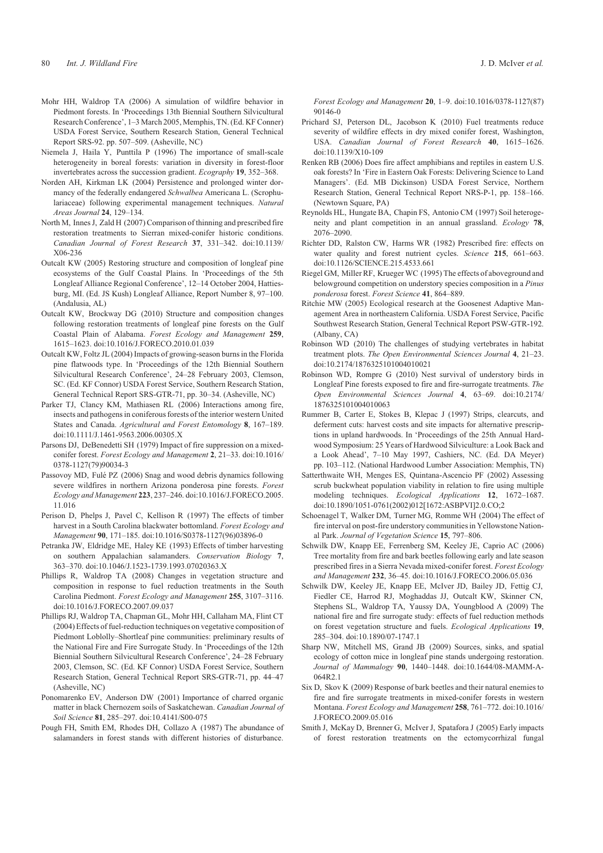- Mohr HH, Waldrop TA (2006) A simulation of wildfire behavior in Piedmont forests. In 'Proceedings 13th Biennial Southern Silvicultural Research Conference', 1–3 March 2005, Memphis, TN. (Ed. KF Conner) USDA Forest Service, Southern Research Station, General Technical Report SRS-92. pp. 507–509. (Asheville, NC)
- Niemela J, Haila Y, Punttila P (1996) The importance of small-scale heterogeneity in boreal forests: variation in diversity in forest-floor invertebrates across the succession gradient. *Ecography* **19**, 352–368.
- Norden AH, Kirkman LK (2004) Persistence and prolonged winter dormancy of the federally endangered *Schwalbea* Americana L. (Scrophulariaceae) following experimental management techniques. *Natural Areas Journal* **24**, 129–134.
- North M, Innes J, Zald H (2007) Comparison of thinning and prescribed fire restoration treatments to Sierran mixed-conifer historic conditions. *Canadian Journal of Forest Research* **37**, 331–342. doi:10.1139/ X06-236
- Outcalt KW (2005) Restoring structure and composition of longleaf pine ecosystems of the Gulf Coastal Plains. In 'Proceedings of the 5th Longleaf Alliance Regional Conference', 12–14 October 2004, Hattiesburg, MI. (Ed. JS Kush) Longleaf Alliance, Report Number 8, 97–100. (Andalusia, AL)
- Outcalt KW, Brockway DG (2010) Structure and composition changes following restoration treatments of longleaf pine forests on the Gulf Coastal Plain of Alabama. *Forest Ecology and Management* **259**, 1615–1623. doi:10.1016/J.FORECO.2010.01.039
- Outcalt KW, Foltz JL (2004) Impacts of growing-season burns in the Florida pine flatwoods type. In 'Proceedings of the 12th Biennial Southern Silvicultural Research Conference', 24–28 February 2003, Clemson, SC. (Ed. KF Connor) USDA Forest Service, Southern Research Station, General Technical Report SRS-GTR-71, pp. 30–34. (Asheville, NC)
- Parker TJ, Clancy KM, Mathiasen RL (2006) Interactions among fire, insects and pathogens in coniferous forests of the interior western United States and Canada. *Agricultural and Forest Entomology* **8**, 167–189. doi:10.1111/J.1461-9563.2006.00305.X
- Parsons DJ, DeBenedetti SH (1979) Impact of fire suppression on a mixedconifer forest. *Forest Ecology and Management* **2**, 21–33. doi:10.1016/ 0378-1127(79)90034-3
- Passovoy MD, Fulé PZ (2006) Snag and wood debris dynamics following severe wildfires in northern Arizona ponderosa pine forests. *Forest Ecology and Management* **223**, 237–246. doi:10.1016/J.FORECO.2005. 11.016
- Perison D, Phelps J, Pavel C, Kellison R (1997) The effects of timber harvest in a South Carolina blackwater bottomland. *Forest Ecology and Management* **90**, 171–185. doi:10.1016/S0378-1127(96)03896-0
- Petranka JW, Eldridge ME, Haley KE (1993) Effects of timber harvesting on southern Appalachian salamanders. *Conservation Biology* **7**, 363–370. doi:10.1046/J.1523-1739.1993.07020363.X
- Phillips R, Waldrop TA (2008) Changes in vegetation structure and composition in response to fuel reduction treatments in the South Carolina Piedmont. *Forest Ecology and Management* **255**, 3107–3116. doi:10.1016/J.FORECO.2007.09.037
- Phillips RJ, Waldrop TA, Chapman GL, Mohr HH, Callaham MA, Flint CT (2004) Effects of fuel-reduction techniques on vegetative composition of Piedmont Loblolly–Shortleaf pine communities: preliminary results of the National Fire and Fire Surrogate Study. In 'Proceedings of the 12th Biennial Southern Silvicultural Research Conference', 24–28 February 2003, Clemson, SC. (Ed. KF Connor) USDA Forest Service, Southern Research Station, General Technical Report SRS-GTR-71, pp. 44–47 (Asheville, NC)
- Ponomarenko EV, Anderson DW (2001) Importance of charred organic matter in black Chernozem soils of Saskatchewan. *Canadian Journal of Soil Science* **81**, 285–297. doi:10.4141/S00-075
- Pough FH, Smith EM, Rhodes DH, Collazo A (1987) The abundance of salamanders in forest stands with different histories of disturbance.

*Forest Ecology and Management* **20**, 1–9. doi:10.1016/0378-1127(87) 90146-0

- Prichard SJ, Peterson DL, Jacobson K (2010) Fuel treatments reduce severity of wildfire effects in dry mixed conifer forest, Washington, USA. *Canadian Journal of Forest Research* **40**, 1615–1626. doi:10.1139/X10-109
- Renken RB (2006) Does fire affect amphibians and reptiles in eastern U.S. oak forests? In 'Fire in Eastern Oak Forests: Delivering Science to Land Managers'. (Ed. MB Dickinson) USDA Forest Service, Northern Research Station, General Technical Report NRS-P-1, pp. 158–166. (Newtown Square, PA)
- Reynolds HL, Hungate BA, Chapin FS, Antonio CM (1997) Soil heterogeneity and plant competition in an annual grassland. *Ecology* **78**, 2076–2090.
- Richter DD, Ralston CW, Harms WR (1982) Prescribed fire: effects on water quality and forest nutrient cycles. *Science* **215**, 661–663. doi:10.1126/SCIENCE.215.4533.661
- Riegel GM, Miller RF, Krueger WC (1995) The effects of aboveground and belowground competition on understory species composition in a *Pinus ponderosa* forest. *Forest Science* **41**, 864–889.
- Ritchie MW (2005) Ecological research at the Goosenest Adaptive Management Area in northeastern California. USDA Forest Service, Pacific Southwest Research Station, General Technical Report PSW-GTR-192. (Albany, CA)
- Robinson WD (2010) The challenges of studying vertebrates in habitat treatment plots. *The Open Environmental Sciences Journal* **4**, 21–23. doi:10.2174/1876325101004010021
- Robinson WD, Rompre G (2010) Nest survival of understory birds in Longleaf Pine forests exposed to fire and fire-surrogate treatments. *The Open Environmental Sciences Journal* **4**, 63–69. doi:10.2174/ 1876325101004010063
- Rummer B, Carter E, Stokes B, Klepac J (1997) Strips, clearcuts, and deferment cuts: harvest costs and site impacts for alternative prescriptions in upland hardwoods. In 'Proceedings of the 25th Annual Hardwood Symposium: 25 Years of Hardwood Silviculture: a Look Back and a Look Ahead', 7–10 May 1997, Cashiers, NC. (Ed. DA Meyer) pp. 103–112. (National Hardwood Lumber Association: Memphis, TN)
- Satterthwaite WH, Menges ES, Quintana-Ascencio PF (2002) Assessing scrub buckwheat population viability in relation to fire using multiple modeling techniques. *Ecological Applications* **12**, 1672–1687. doi:10.1890/1051-0761(2002)012[1672:ASBPVI]2.0.CO;2
- Schoenagel T, Walker DM, Turner MG, Romme WH (2004) The effect of fire interval on post-fire understory communities in Yellowstone National Park. *Journal of Vegetation Science* **15**, 797–806.
- Schwilk DW, Knapp EE, Ferrenberg SM, Keeley JE, Caprio AC (2006) Tree mortality from fire and bark beetles following early and late season prescribed fires in a Sierra Nevada mixed-conifer forest. *Forest Ecology and Management* **232**, 36–45. doi:10.1016/J.FORECO.2006.05.036
- Schwilk DW, Keeley JE, Knapp EE, McIver JD, Bailey JD, Fettig CJ, Fiedler CE, Harrod RJ, Moghaddas JJ, Outcalt KW, Skinner CN, Stephens SL, Waldrop TA, Yaussy DA, Youngblood A (2009) The national fire and fire surrogate study: effects of fuel reduction methods on forest vegetation structure and fuels. *Ecological Applications* **19**, 285–304. doi:10.1890/07-1747.1
- Sharp NW, Mitchell MS, Grand JB (2009) Sources, sinks, and spatial ecology of cotton mice in longleaf pine stands undergoing restoration. *Journal of Mammalogy* **90**, 1440–1448. doi:10.1644/08-MAMM-A-064R2.1
- Six D, Skov K (2009) Response of bark beetles and their natural enemies to fire and fire surrogate treatments in mixed-conifer forests in western Montana. *Forest Ecology and Management* **258**, 761–772. doi:10.1016/ J.FORECO.2009.05.016
- Smith J, McKay D, Brenner G, McIver J, Spatafora J (2005) Early impacts of forest restoration treatments on the ectomycorrhizal fungal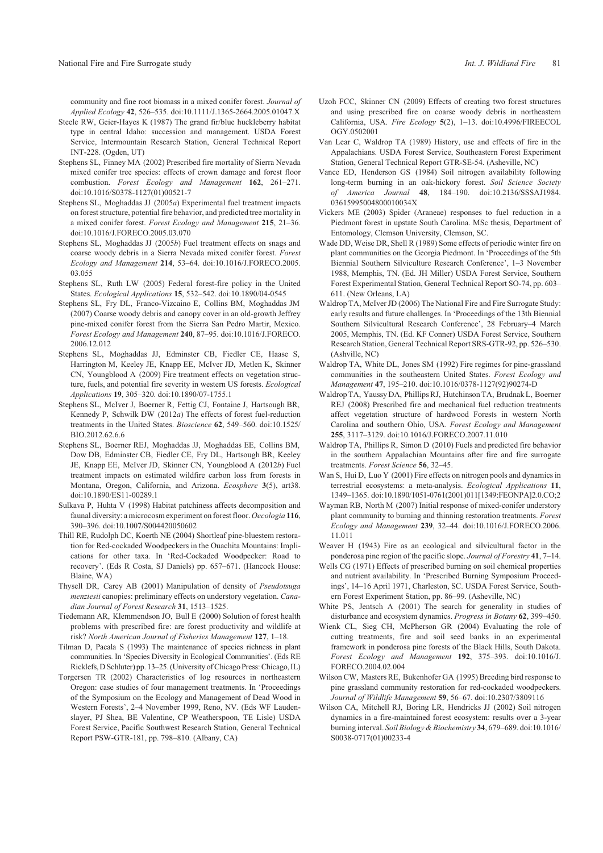community and fine root biomass in a mixed conifer forest. *Journal of Applied Ecology* **42**, 526–535. doi:10.1111/J.1365-2664.2005.01047.X

- Steele RW, Geier-Hayes K (1987) The grand fir/blue huckleberry habitat type in central Idaho: succession and management. USDA Forest Service, Intermountain Research Station, General Technical Report INT-228. (Ogden, UT)
- Stephens SL, Finney MA (2002) Prescribed fire mortality of Sierra Nevada mixed conifer tree species: effects of crown damage and forest floor combustion. *Forest Ecology and Management* **162**, 261–271. doi:10.1016/S0378-1127(01)00521-7
- Stephens SL, Moghaddas JJ (2005*a*) Experimental fuel treatment impacts on forest structure, potential fire behavior, and predicted tree mortality in a mixed conifer forest. *Forest Ecology and Management* **215**, 21–36. doi:10.1016/J.FORECO.2005.03.070
- Stephens SL, Moghaddas JJ (2005*b*) Fuel treatment effects on snags and coarse woody debris in a Sierra Nevada mixed conifer forest. *Forest Ecology and Management* **214**, 53–64. doi:10.1016/J.FORECO.2005. 03.055
- Stephens SL, Ruth LW (2005) Federal forest-fire policy in the United States. *Ecological Applications* **15**, 532–542. doi:10.1890/04-0545
- Stephens SL, Fry DL, Franco-Vizcaino E, Collins BM, Moghaddas JM (2007) Coarse woody debris and canopy cover in an old-growth Jeffrey pine-mixed conifer forest from the Sierra San Pedro Martir, Mexico. *Forest Ecology and Management* **240**, 87–95. doi:10.1016/J.FORECO. 2006.12.012
- Stephens SL, Moghaddas JJ, Edminster CB, Fiedler CE, Haase S, Harrington M, Keeley JE, Knapp EE, McIver JD, Metlen K, Skinner CN, Youngblood A (2009) Fire treatment effects on vegetation structure, fuels, and potential fire severity in western US forests. *Ecological Applications* **19**, 305–320. doi:10.1890/07-1755.1
- Stephens SL, McIver J, Boerner R, Fettig CJ, Fontaine J, Hartsough BR, Kennedy P, Schwilk DW (2012*a*) The effects of forest fuel-reduction treatments in the United States. *Bioscience* **62**, 549–560. doi:10.1525/ BIO.2012.62.6.6
- Stephens SL, Boerner REJ, Moghaddas JJ, Moghaddas EE, Collins BM, Dow DB, Edminster CB, Fiedler CE, Fry DL, Hartsough BR, Keeley JE, Knapp EE, McIver JD, Skinner CN, Youngblood A (2012*b*) Fuel treatment impacts on estimated wildfire carbon loss from forests in Montana, Oregon, California, and Arizona. *Ecosphere* **3**(5), art38. doi:10.1890/ES11-00289.1
- Sulkava P, Huhta V (1998) Habitat patchiness affects decomposition and faunal diversity: a microcosm experiment on forest floor. *Oecologia* **116**, 390–396. doi:10.1007/S004420050602
- Thill RE, Rudolph DC, Koerth NE (2004) Shortleaf pine-bluestem restoration for Red-cockaded Woodpeckers in the Ouachita Mountains: Implications for other taxa. In 'Red-Cockaded Woodpecker: Road to recovery'. (Eds R Costa, SJ Daniels) pp. 657–671. (Hancock House: Blaine, WA)
- Thysell DR, Carey AB (2001) Manipulation of density of *Pseudotsuga menziesii* canopies: preliminary effects on understory vegetation. *Canadian Journal of Forest Research* **31**, 1513–1525.
- Tiedemann AR, Klemmendson JO, Bull E (2000) Solution of forest health problems with prescribed fire: are forest productivity and wildlife at risk? *North American Journal of Fisheries Management* **127**, 1–18.
- Tilman D, Pacala S (1993) The maintenance of species richness in plant communities. In 'Species Diversity in Ecological Communities'. (Eds RE Ricklefs, D Schluter) pp. 13–25. (University of Chicago Press: Chicago, IL)
- Torgersen TR (2002) Characteristics of log resources in northeastern Oregon: case studies of four management treatments. In 'Proceedings of the Symposium on the Ecology and Management of Dead Wood in Western Forests', 2–4 November 1999, Reno, NV. (Eds WF Laudenslayer, PJ Shea, BE Valentine, CP Weatherspoon, TE Lisle) USDA Forest Service, Pacific Southwest Research Station, General Technical Report PSW-GTR-181, pp. 798–810. (Albany, CA)
- Uzoh FCC, Skinner CN (2009) Effects of creating two forest structures and using prescribed fire on coarse woody debris in northeastern California, USA. *Fire Ecology* **5**(2), 1–13. doi:10.4996/FIREECOL OGY.0502001
- Van Lear C, Waldrop TA (1989) History, use and effects of fire in the Appalachians. USDA Forest Service, Southeastern Forest Experiment Station, General Technical Report GTR-SE-54. (Asheville, NC)
- Vance ED, Henderson GS (1984) Soil nitrogen availability following long-term burning in an oak-hickory forest. *Soil Science Society of America Journal* **48**, 184–190. doi:10.2136/SSSAJ1984. 03615995004800010034X
- Vickers ME (2003) Spider (Araneae) responses to fuel reduction in a Piedmont forest in upstate South Carolina. MSc thesis, Department of Entomology, Clemson University, Clemson, SC.
- Wade DD, Weise DR, Shell R (1989) Some effects of periodic winter fire on plant communities on the Georgia Piedmont. In 'Proceedings of the 5th Biennial Southern Silviculture Research Conference', 1–3 November 1988, Memphis, TN. (Ed. JH Miller) USDA Forest Service, Southern Forest Experimental Station, General Technical Report SO-74, pp. 603– 611. (New Orleans, LA)
- Waldrop TA, McIver JD (2006) The National Fire and Fire Surrogate Study: early results and future challenges. In 'Proceedings of the 13th Biennial Southern Silvicultural Research Conference', 28 February–4 March 2005, Memphis, TN. (Ed. KF Conner) USDA Forest Service, Southern Research Station, General Technical Report SRS-GTR-92, pp. 526–530. (Ashville, NC)
- Waldrop TA, White DL, Jones SM (1992) Fire regimes for pine-grassland communities in the southeastern United States. *Forest Ecology and Management* **47**, 195–210. doi:10.1016/0378-1127(92)90274-D
- Waldrop TA, Yaussy DA, Phillips RJ, Hutchinson TA, Brudnak L, Boerner REJ (2008) Prescribed fire and mechanical fuel reduction treatments affect vegetation structure of hardwood Forests in western North Carolina and southern Ohio, USA. *Forest Ecology and Management* **255**, 3117–3129. doi:10.1016/J.FORECO.2007.11.010
- Waldrop TA, Phillips R, Simon D (2010) Fuels and predicted fire behavior in the southern Appalachian Mountains after fire and fire surrogate treatments. *Forest Science* **56**, 32–45.
- Wan S, Hui D, Luo Y (2001) Fire effects on nitrogen pools and dynamics in terrestrial ecosystems: a meta-analysis. *Ecological Applications* **11**, 1349–1365. doi:10.1890/1051-0761(2001)011[1349:FEONPA]2.0.CO;2
- Wayman RB, North M (2007) Initial response of mixed-conifer understory plant community to burning and thinning restoration treatments. *Forest Ecology and Management* **239**, 32–44. doi:10.1016/J.FORECO.2006. 11.011
- Weaver H (1943) Fire as an ecological and silvicultural factor in the ponderosa pine region of the pacific slope. *Journal of Forestry* **41**, 7–14.
- Wells CG (1971) Effects of prescribed burning on soil chemical properties and nutrient availability. In 'Prescribed Burning Symposium Proceedings', 14–16 April 1971, Charleston, SC. USDA Forest Service, Southern Forest Experiment Station, pp. 86–99. (Asheville, NC)
- White PS, Jentsch A (2001) The search for generality in studies of disturbance and ecosystem dynamics. *Progress in Botany* **62**, 399–450.
- Wienk CL, Sieg CH, McPherson GR (2004) Evaluating the role of cutting treatments, fire and soil seed banks in an experimental framework in ponderosa pine forests of the Black Hills, South Dakota. *Forest Ecology and Management* **192**, 375–393. doi:10.1016/J. FORECO.2004.02.004
- Wilson CW, Masters RE, Bukenhofer GA (1995) Breeding bird response to pine grassland community restoration for red-cockaded woodpeckers. *Journal of Wildlife Management* **59**, 56–67. doi:10.2307/3809116
- Wilson CA, Mitchell RJ, Boring LR, Hendricks JJ (2002) Soil nitrogen dynamics in a fire-maintained forest ecosystem: results over a 3-year burning interval. *Soil Biology & Biochemistry* **34**, 679–689. doi:10.1016/ S0038-0717(01)00233-4